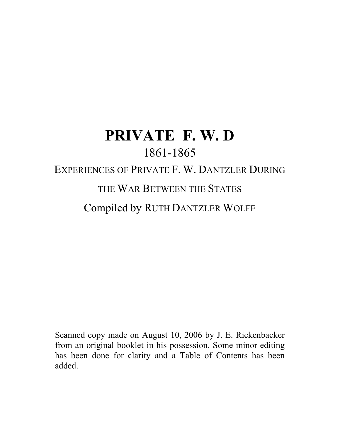# **PRIVATE F. W. D** 1861-1865 EXPERIENCES OF PRIVATE F. W. DANTZLER DURING THE WAR BETWEEN THE STATES Compiled by RUTH DANTZLER WOLFE

Scanned copy made on August 10, 2006 by J. E. Rickenbacker from an original booklet in his possession. Some minor editing has been done for clarity and a Table of Contents has been added.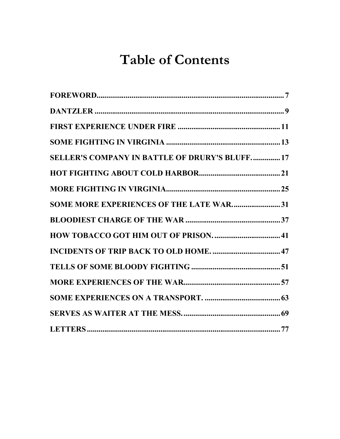## **Table of Contents**

| <b>SELLER'S COMPANY IN BATTLE OF DRURY'S BLUFF 17</b> |  |
|-------------------------------------------------------|--|
|                                                       |  |
|                                                       |  |
| SOME MORE EXPERIENCES OF THE LATE WAR31               |  |
|                                                       |  |
|                                                       |  |
|                                                       |  |
|                                                       |  |
|                                                       |  |
|                                                       |  |
|                                                       |  |
|                                                       |  |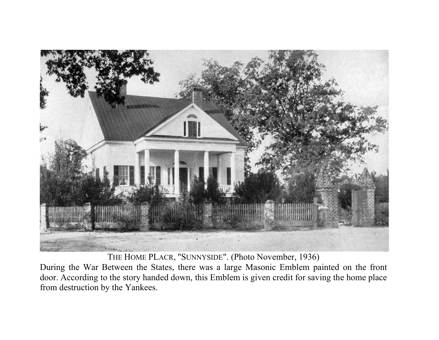

THE HOME PLACR, "SUNNYSIDE". (Photo November, 1936)

During the War Between the States, there was a large Masonic Emblem painted on the front door. According to the story handed down, this Emblem is given credit for saving the home place from destruction by the Yankees.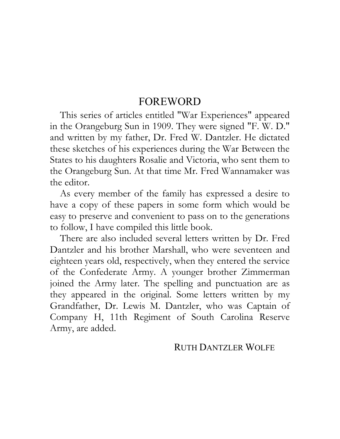#### FOREWORD

This series of articles entitled "War Experiences" appeared in the Orangeburg Sun in 1909. They were signed "F. W. D." and written by my father, Dr. Fred W. Dantzler. He dictated these sketches of his experiences during the War Between the States to his daughters Rosalie and Victoria, who sent them to the Orangeburg Sun. At that time Mr. Fred Wannamaker was the editor.

As every member of the family has expressed a desire to have a copy of these papers in some form which would be easy to preserve and convenient to pass on to the generations to follow, I have compiled this little book.

There are also included several letters written by Dr. Fred Dantzler and his brother Marshall, who were seventeen and eighteen years old, respectively, when they entered the service of the Confederate Army. A younger brother Zimmerman joined the Army later. The spelling and punctuation are as they appeared in the original. Some letters written by my Grandfather, Dr. Lewis M. Dantzler, who was Captain of Company H, 11th Regiment of South Carolina Reserve Army, are added.

#### RUTH DANTZLER WOLFE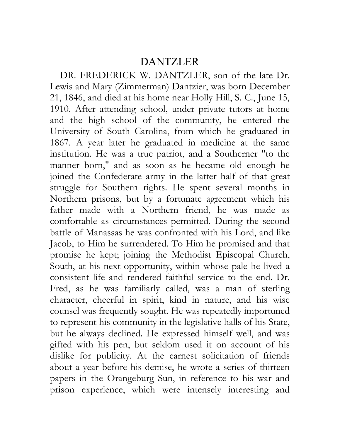#### DANTZLER

DR. FREDERICK W. DANTZLER, son of the late Dr. Lewis and Mary (Zimmerman) Dantzier, was born December 21, 1846, and died at his home near Holly Hill, S. C., June 15, 1910. After attending school, under private tutors at home and the high school of the community, he entered the University of South Carolina, from which he graduated in 1867. A year later he graduated in medicine at the same institution. He was a true patriot, and a Southerner "to the manner born," and as soon as he became old enough he joined the Confederate army in the latter half of that great struggle for Southern rights. He spent several months in Northern prisons, but by a fortunate agreement which his father made with a Northern friend, he was made as comfortable as circumstances permitted. During the second battle of Manassas he was confronted with his Lord, and like Jacob, to Him he surrendered. To Him he promised and that promise he kept; joining the Methodist Episcopal Church, South, at his next opportunity, within whose pale he lived a consistent life and rendered faithful service to the end. Dr. Fred, as he was familiarly called, was a man of sterling character, cheerful in spirit, kind in nature, and his wise counsel was frequently sought. He was repeatedly importuned to represent his community in the legislative halls of his State, but he always declined. He expressed himself well, and was gifted with his pen, but seldom used it on account of his dislike for publicity. At the earnest solicitation of friends about a year before his demise, he wrote a series of thirteen papers in the Orangeburg Sun, in reference to his war and prison experience, which were intensely interesting and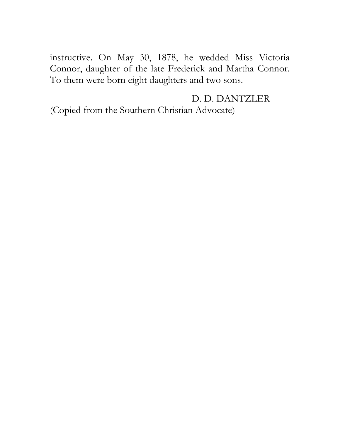instructive. On May 30, 1878, he wedded Miss Victoria Connor, daughter of the late Frederick and Martha Connor. To them were born eight daughters and two sons.

D. D. DANTZLER (Copied from the Southern Christian Advocate)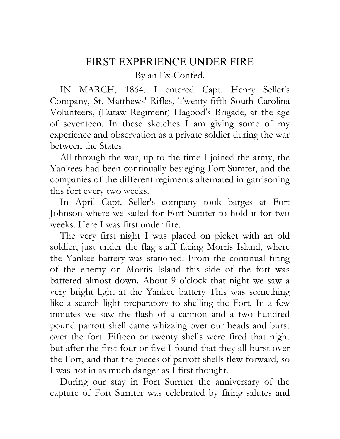#### FIRST EXPERIENCE UNDER FIRE

By an Ex-Confed.

IN MARCH, 1864, I entered Capt. Henry Seller's Company, St. Matthews' Rifles, Twenty-fifth South Carolina Volunteers, (Eutaw Regiment) Hagood's Brigade, at the age of seventeen. In these sketches I am giving some of my experience and observation as a private soldier during the war between the States.

All through the war, up to the time I joined the army, the Yankees had been continually besieging Fort Sumter, and the companies of the different regiments alternated in garrisoning this fort every two weeks.

In April Capt. Seller's company took barges at Fort Johnson where we sailed for Fort Sumter to hold it for two weeks. Here I was first under fire.

The very first night I was placed on picket with an old soldier, just under the flag staff facing Morris Island, where the Yankee battery was stationed. From the continual firing of the enemy on Morris Island this side of the fort was battered almost down. About 9 o'clock that night we saw a very bright light at the Yankee battery This was something like a search light preparatory to shelling the Fort. In a few minutes we saw the flash of a cannon and a two hundred pound parrott shell came whizzing over our heads and burst over the fort. Fifteen or twenty shells were fired that night but after the first four or five I found that they all burst over the Fort, and that the pieces of parrott shells flew forward, so I was not in as much danger as I first thought.

During our stay in Fort Surnter the anniversary of the capture of Fort Surnter was celebrated by firing salutes and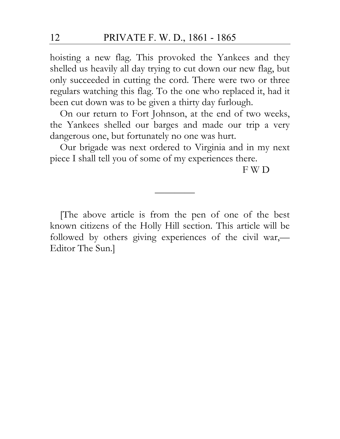hoisting a new flag. This provoked the Yankees and they shelled us heavily all day trying to cut down our new flag, but only succeeded in cutting the cord. There were two or three regulars watching this flag. To the one who replaced it, had it been cut down was to be given a thirty day furlough.

On our return to Fort Johnson, at the end of two weeks, the Yankees shelled our barges and made our trip a very dangerous one, but fortunately no one was hurt.

Our brigade was next ordered to Virginia and in my next piece I shall tell you of some of my experiences there.

F W D

[The above article is from the pen of one of the best known citizens of the Holly Hill section. This article will be followed by others giving experiences of the civil war,— Editor The Sun.]

————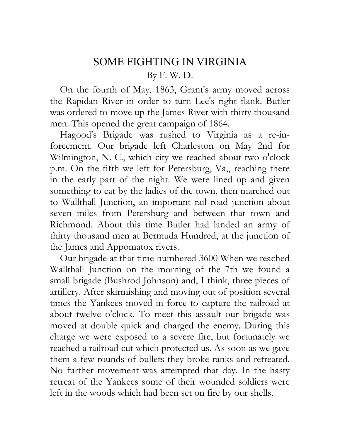## SOME FIGHTING IN VIRGINIA By F. W. D.

On the fourth of May, 1863, Grant's army moved across the Rapidan River in order to turn Lee's right flank. Butler was ordered to move up the James River with thirty thousand men. This opened the great campaign of 1864.

Hagood's Brigade was rushed to Virginia as a re-inforcement. Our brigade left Charleston on May 2nd for Wilmington, N. C., which city we reached about two o'clock p.m. On the fifth we left for Petersburg,  $Va_{\alpha}$ , reaching there in the early part of the night. We were lined up and given something to eat by the ladies of the town, then marched out to Wallthall Junction, an important rail road junction about seven miles from Petersburg and between that town and Richmond. About this time Butler had landed an army of thirty thousand men at Bermuda Hundred, at the junction of the James and Appomatox rivers.

Our brigade at that time numbered 3600 When we reached Wallthall Junction on the morning of the 7th we found a small brigade (Bushrod Johnson) and, I think, three pieces of artillery. After skirmishing and moving out of position several times the Yankees moved in force to capture the railroad at about twelve o'clock. To meet this assault our brigade was moved at double quick and charged the enemy. During this charge we were exposed to a severe fire, but fortunately we reached a railroad cut which protected us. As soon as we gave them a few rounds of bullets they broke ranks and retreated. No further movement was attempted that day. In the hasty retreat of the Yankees some of their wounded soldiers were left in the woods which had been set on fire by our shells.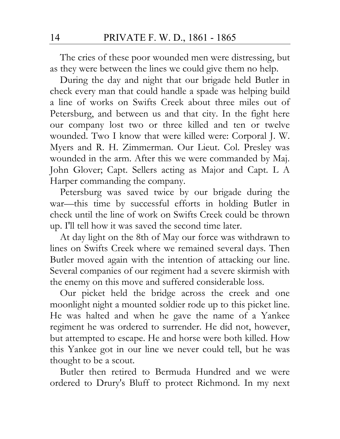The cries of these poor wounded men were distressing, but as they were between the lines we could give them no help.

During the day and night that our brigade held Butler in check every man that could handle a spade was helping build a line of works on Swifts Creek about three miles out of Petersburg, and between us and that city. In the fight here our company lost two or three killed and ten or twelve wounded. Two I know that were killed were: Corporal J. W. Myers and R. H. Zimmerman. Our Lieut. Col. Presley was wounded in the arm. After this we were commanded by Maj. John Glover; Capt. Sellers acting as Major and Capt. L A Harper commanding the company.

Petersburg was saved twice by our brigade during the war—this time by successful efforts in holding Butler in check until the line of work on Swifts Creek could be thrown up. I'll tell how it was saved the second time later.

At day light on the 8th of May our force was withdrawn to lines on Swifts Creek where we remained several days. Then Butler moved again with the intention of attacking our line. Several companies of our regiment had a severe skirmish with the enemy on this move and suffered considerable loss.

Our picket held the bridge across the creek and one moonlight night a mounted soldier rode up to this picket line. He was halted and when he gave the name of a Yankee regiment he was ordered to surrender. He did not, however, but attempted to escape. He and horse were both killed. How this Yankee got in our line we never could tell, but he was thought to be a scout.

Butler then retired to Bermuda Hundred and we were ordered to Drury's Bluff to protect Richmond. In my next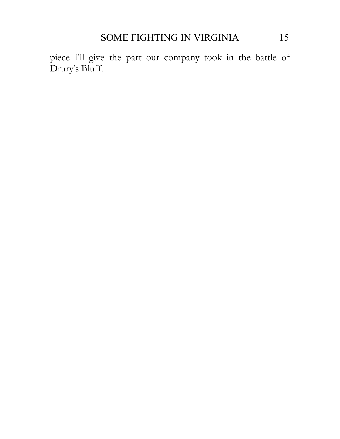piece I'll give the part our company took in the battle of Drury's Bluff.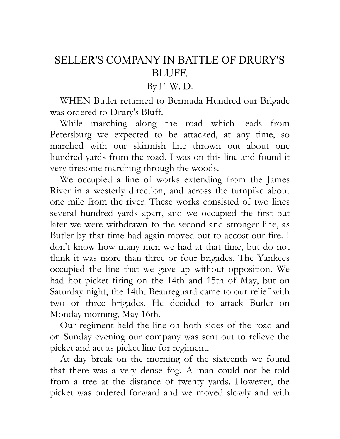## SELLER'S COMPANY IN BATTLE OF DRURY'S BLUFF.

By F. W. D.

WHEN Butler returned to Bermuda Hundred our Brigade was ordered to Drury's Bluff.

While marching along the road which leads from Petersburg we expected to be attacked, at any time, so marched with our skirmish line thrown out about one hundred yards from the road. I was on this line and found it very tiresome marching through the woods.

We occupied a line of works extending from the James River in a westerly direction, and across the turnpike about one mile from the river. These works consisted of two lines several hundred yards apart, and we occupied the first but later we were withdrawn to the second and stronger line, as Butler by that time had again moved out to accost our fire. I don't know how many men we had at that time, but do not think it was more than three or four brigades. The Yankees occupied the line that we gave up without opposition. We had hot picket firing on the 14th and 15th of May, but on Saturday night, the 14th, Beaureguard came to our relief with two or three brigades. He decided to attack Butler on Monday morning, May 16th.

Our regiment held the line on both sides of the road and on Sunday evening our company was sent out to relieve the picket and act as picket line for regiment,

At day break on the morning of the sixteenth we found that there was a very dense fog. A man could not be told from a tree at the distance of twenty yards. However, the picket was ordered forward and we moved slowly and with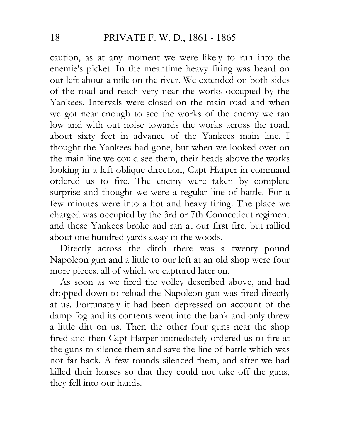caution, as at any moment we were likely to run into the enemie's picket. In the meantime heavy firing was heard on our left about a mile on the river. We extended on both sides of the road and reach very near the works occupied by the Yankees. Intervals were closed on the main road and when we got near enough to see the works of the enemy we ran low and with out noise towards the works across the road, about sixty feet in advance of the Yankees main line. I thought the Yankees had gone, but when we looked over on the main line we could see them, their heads above the works looking in a left oblique direction, Capt Harper in command ordered us to fire. The enemy were taken by complete surprise and thought we were a regular line of battle. For a few minutes were into a hot and heavy firing. The place we charged was occupied by the 3rd or 7th Connecticut regiment and these Yankees broke and ran at our first fire, but rallied about one hundred yards away in the woods.

Directly across the ditch there was a twenty pound Napoleon gun and a little to our left at an old shop were four more pieces, all of which we captured later on.

As soon as we fired the volley described above, and had dropped down to reload the Napoleon gun was fired directly at us. Fortunately it had been depressed on account of the damp fog and its contents went into the bank and only threw a little dirt on us. Then the other four guns near the shop fired and then Capt Harper immediately ordered us to fire at the guns to silence them and save the line of battle which was not far back. A few rounds silenced them, and after we had killed their horses so that they could not take off the guns, they fell into our hands.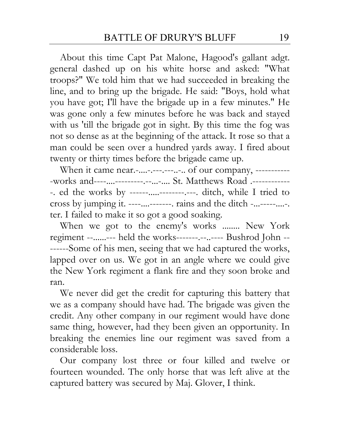About this time Capt Pat Malone, Hagood's gallant adgt. general dashed up on his white horse and asked: "What troops?" We told him that we had succeeded in breaking the line, and to bring up the brigade. He said: "Boys, hold what you have got; I'll have the brigade up in a few minutes." He was gone only a few minutes before he was back and stayed with us 'till the brigade got in sight. By this time the fog was not so dense as at the beginning of the attack. It rose so that a man could be seen over a hundred yards away. I fired about twenty or thirty times before the brigade came up.

When it came near.-....-.--------... of our company, -------------works and------------------------------ St. Matthews Road .--------------. ed the works by ------.....--------.---. ditch, while I tried to cross by jumping it. ----....-------. rains and the ditch -...-----....-. ter. I failed to make it so got a good soaking.

When we got to the enemy's works ........ New York regiment --......--- held the works-------.--..---- Bushrod John -- ------Some of his men, seeing that we had captured the works, lapped over on us. We got in an angle where we could give the New York regiment a flank fire and they soon broke and ran.

We never did get the credit for capturing this battery that we as a company should have had. The brigade was given the credit. Any other company in our regiment would have done same thing, however, had they been given an opportunity. In breaking the enemies line our regiment was saved from a considerable loss.

Our company lost three or four killed and twelve or fourteen wounded. The only horse that was left alive at the captured battery was secured by Maj. Glover, I think.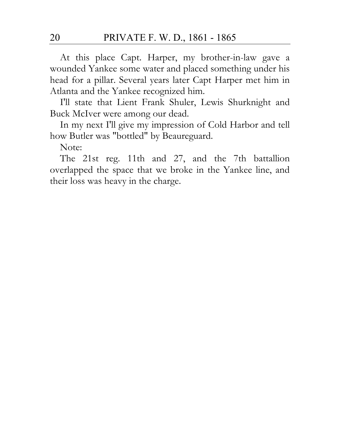At this place Capt. Harper, my brother-in-law gave a wounded Yankee some water and placed something under his head for a pillar. Several years later Capt Harper met him in Atlanta and the Yankee recognized him.

I'll state that Lient Frank Shuler, Lewis Shurknight and Buck McIver were among our dead.

In my next I'll give my impression of Cold Harbor and tell how Butler was "bottled" by Beaureguard.

Note:

The 21st reg. 11th and 27, and the 7th battallion overlapped the space that we broke in the Yankee line, and their loss was heavy in the charge.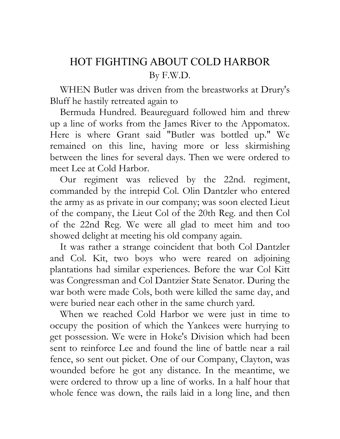## HOT FIGHTING ABOUT COLD HARBOR By F.W.D.

WHEN Butler was driven from the breastworks at Drury's Bluff he hastily retreated again to

Bermuda Hundred. Beaureguard followed him and threw up a line of works from the James River to the Appomatox. Here is where Grant said "Butler was bottled up." We remained on this line, having more or less skirmishing between the lines for several days. Then we were ordered to meet Lee at Cold Harbor.

Our regiment was relieved by the 22nd. regiment, commanded by the intrepid Col. Olin Dantzler who entered the army as as private in our company; was soon elected Lieut of the company, the Lieut Col of the 20th Reg. and then Col of the 22nd Reg. We were all glad to meet him and too showed delight at meeting his old company again.

It was rather a strange coincident that both Col Dantzler and Col. Kit, two boys who were reared on adjoining plantations had similar experiences. Before the war Col Kitt was Congressman and Col Dantzier State Senator. During the war both were made Cols, both were killed the same day, and were buried near each other in the same church yard.

When we reached Cold Harbor we were just in time to occupy the position of which the Yankees were hurrying to get possession. We were in Hoke's Division which had been sent to reinforce Lee and found the line of battle near a rail fence, so sent out picket. One of our Company, Clayton, was wounded before he got any distance. In the meantime, we were ordered to throw up a line of works. In a half hour that whole fence was down, the rails laid in a long line, and then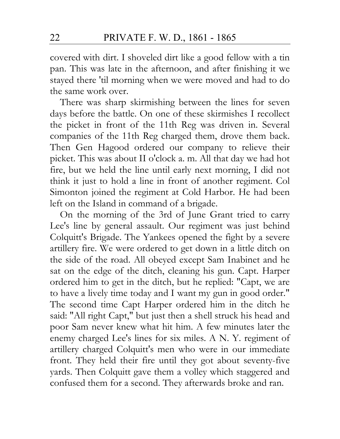covered with dirt. I shoveled dirt like a good fellow with a tin pan. This was late in the afternoon, and after finishing it we stayed there 'til morning when we were moved and had to do the same work over.

There was sharp skirmishing between the lines for seven days before the battle. On one of these skirmishes I recollect the picket in front of the 11th Reg was driven in. Several companies of the 11th Reg charged them, drove them back. Then Gen Hagood ordered our company to relieve their picket. This was about II o'clock a. m. All that day we had hot fire, but we held the line until early next morning, I did not think it just to hold a line in front of another regiment. Col Simonton joined the regiment at Cold Harbor. He had been left on the Island in command of a brigade.

On the morning of the 3rd of June Grant tried to carry Lee's line by general assault. Our regiment was just behind Colquitt's Brigade. The Yankees opened the fight by a severe artillery fire. We were ordered to get down in a little ditch on the side of the road. All obeyed except Sam Inabinet and he sat on the edge of the ditch, cleaning his gun. Capt. Harper ordered him to get in the ditch, but he replied: "Capt, we are to have a lively time today and I want my gun in good order." The second time Capt Harper ordered him in the ditch he said: "All right Capt," but just then a shell struck his head and poor Sam never knew what hit him. A few minutes later the enemy charged Lee's lines for six miles. A N. Y. regiment of artillery charged Colquitt's men who were in our immediate front. They held their fire until they got about seventy-five yards. Then Colquitt gave them a volley which staggered and confused them for a second. They afterwards broke and ran.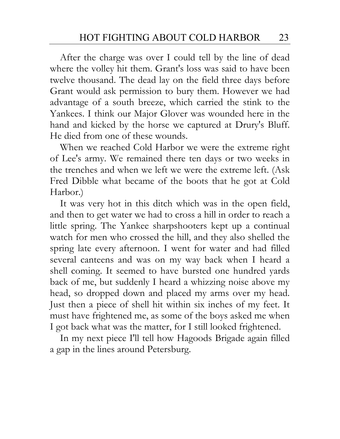After the charge was over I could tell by the line of dead where the volley hit them. Grant's loss was said to have been twelve thousand. The dead lay on the field three days before Grant would ask permission to bury them. However we had advantage of a south breeze, which carried the stink to the Yankees. I think our Major Glover was wounded here in the hand and kicked by the horse we captured at Drury's Bluff. He died from one of these wounds.

When we reached Cold Harbor we were the extreme right of Lee's army. We remained there ten days or two weeks in the trenches and when we left we were the extreme left. (Ask Fred Dibble what became of the boots that he got at Cold Harbor.)

It was very hot in this ditch which was in the open field, and then to get water we had to cross a hill in order to reach a little spring. The Yankee sharpshooters kept up a continual watch for men who crossed the hill, and they also shelled the spring late every afternoon. I went for water and had filled several canteens and was on my way back when I heard a shell coming. It seemed to have bursted one hundred yards back of me, but suddenly I heard a whizzing noise above my head, so dropped down and placed my arms over my head. Just then a piece of shell hit within six inches of my feet. It must have frightened me, as some of the boys asked me when I got back what was the matter, for I still looked frightened.

In my next piece I'll tell how Hagoods Brigade again filled a gap in the lines around Petersburg.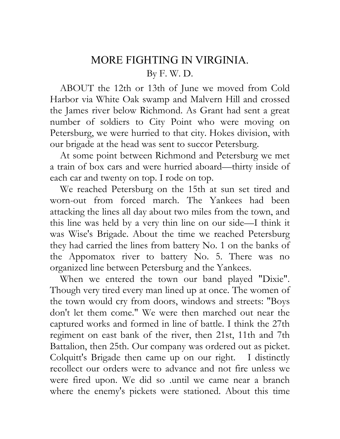## MORE FIGHTING IN VIRGINIA. By F. W. D.

ABOUT the 12th or 13th of June we moved from Cold Harbor via White Oak swamp and Malvern Hill and crossed the James river below Richmond. As Grant had sent a great number of soldiers to City Point who were moving on Petersburg, we were hurried to that city. Hokes division, with our brigade at the head was sent to succor Petersburg.

At some point between Richmond and Petersburg we met a train of box cars and were hurried aboard—thirty inside of each car and twenty on top. I rode on top.

We reached Petersburg on the 15th at sun set tired and worn-out from forced march. The Yankees had been attacking the lines all day about two miles from the town, and this line was held by a very thin line on our side—I think it was Wise's Brigade. About the time we reached Petersburg they had carried the lines from battery No. 1 on the banks of the Appomatox river to battery No. 5. There was no organized line between Petersburg and the Yankees.

When we entered the town our band played "Dixie". Though very tired every man lined up at once. The women of the town would cry from doors, windows and streets: "Boys don't let them come." We were then marched out near the captured works and formed in line of battle. I think the 27th regiment on east bank of the river, then 21st, 11th and 7th Battalion, then 25th. Our company was ordered out as picket. Colquitt's Brigade then came up on our right. I distinctly recollect our orders were to advance and not fire unless we were fired upon. We did so .until we came near a branch where the enemy's pickets were stationed. About this time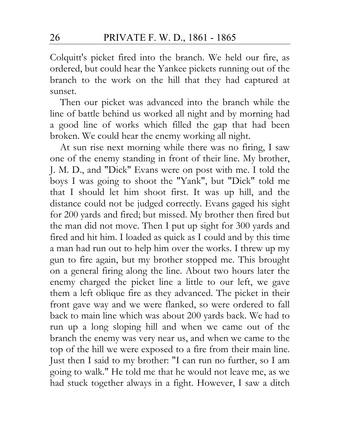Colquitt's picket fired into the branch. We held our fire, as ordered, but could hear the Yankee pickets running out of the branch to the work on the hill that they had captured at sunset.

Then our picket was advanced into the branch while the line of battle behind us worked all night and by morning had a good line of works which filled the gap that had been broken. We could hear the enemy working all night.

At sun rise next morning while there was no firing, I saw one of the enemy standing in front of their line. My brother, J. M. D., and "Dick" Evans were on post with me. I told the boys I was going to shoot the "Yank", but "Dick" told me that I should let him shoot first. It was up hill, and the distance could not be judged correctly. Evans gaged his sight for 200 yards and fired; but missed. My brother then fired but the man did not move. Then I put up sight for 300 yards and fired and hit him. I loaded as quick as I could and by this time a man had run out to help him over the works. I threw up my gun to fire again, but my brother stopped me. This brought on a general firing along the line. About two hours later the enemy charged the picket line a little to our left, we gave them a left oblique fire as they advanced. The picket in their front gave way and we were flanked, so were ordered to fall back to main line which was about 200 yards back. We had to run up a long sloping hill and when we came out of the branch the enemy was very near us, and when we came to the top of the hill we were exposed to a fire from their main line. Just then I said to my brother: "I can run no further, so I am going to walk." He told me that he would not leave me, as we had stuck together always in a fight. However, I saw a ditch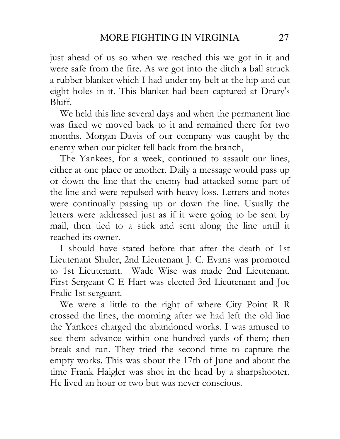just ahead of us so when we reached this we got in it and were safe from the fire. As we got into the ditch a ball struck a rubber blanket which I had under my belt at the hip and cut eight holes in it. This blanket had been captured at Drury's Bluff.

We held this line several days and when the permanent line was fixed we moved back to it and remained there for two months. Morgan Davis of our company was caught by the enemy when our picket fell back from the branch,

The Yankees, for a week, continued to assault our lines, either at one place or another. Daily a message would pass up or down the line that the enemy had attacked some part of the line and were repulsed with heavy loss. Letters and notes were continually passing up or down the line. Usually the letters were addressed just as if it were going to be sent by mail, then tied to a stick and sent along the line until it reached its owner.

I should have stated before that after the death of 1st Lieutenant Shuler, 2nd Lieutenant J. C. Evans was promoted to 1st Lieutenant. Wade Wise was made 2nd Lieutenant. First Sergeant C E Hart was elected 3rd Lieutenant and Joe Fralic 1st sergeant.

We were a little to the right of where City Point R R crossed the lines, the morning after we had left the old line the Yankees charged the abandoned works. I was amused to see them advance within one hundred yards of them; then break and run. They tried the second time to capture the empty works. This was about the 17th of June and about the time Frank Haigler was shot in the head by a sharpshooter. He lived an hour or two but was never conscious.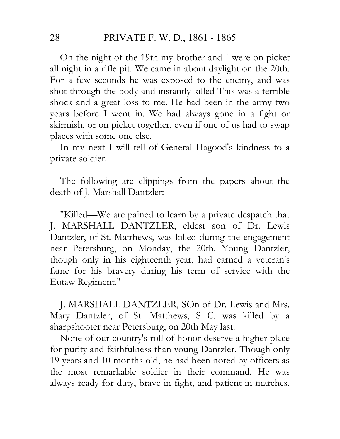On the night of the 19th my brother and I were on picket all night in a rifle pit. We came in about daylight on the 20th. For a few seconds he was exposed to the enemy, and was shot through the body and instantly killed This was a terrible shock and a great loss to me. He had been in the army two years before I went in. We had always gone in a fight or skirmish, or on picket together, even if one of us had to swap places with some one else.

In my next I will tell of General Hagood's kindness to a private soldier.

The following are clippings from the papers about the death of J. Marshall Dantzler:—

"Killed—We are pained to learn by a private despatch that J. MARSHALL DANTZLER, eldest son of Dr. Lewis Dantzler, of St. Matthews, was killed during the engagement near Petersburg, on Monday, the 20th. Young Dantzler, though only in his eighteenth year, had earned a veteran's fame for his bravery during his term of service with the Eutaw Regiment."

J. MARSHALL DANTZLER, SOn of Dr. Lewis and Mrs. Mary Dantzler, of St. Matthews, S C, was killed by a sharpshooter near Petersburg, on 20th May last.

None of our country's roll of honor deserve a higher place for purity and faithfulness than young Dantzler. Though only 19 years and 10 months old, he had been noted by officers as the most remarkable soldier in their command. He was always ready for duty, brave in fight, and patient in marches.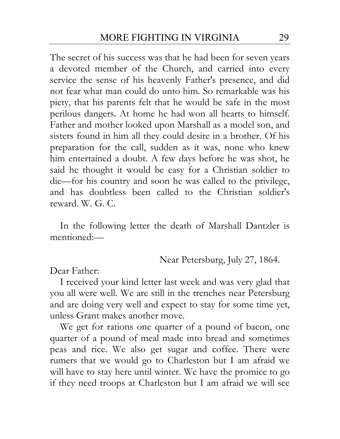The secret of his success was that he had been for seven years a devoted member of the Church, and carried into every service the sense of his heavenly Father's presence, and did not fear what man could do unto him. So remarkable was his piety, that his parents felt that he would be safe in the most perilous dangers. At home he had won all hearts to himself. Father and mother looked upon Marshall as a model son, and sisters found in him all they could desire in a brother. Of his preparation for the call, sudden as it was, none who knew him entertained a doubt. A few days before he was shot, he said he thought it would be easy for a Christian soldier to die—for his country and soon he was called to the privilege, and has doubtless been called to the Christian soldier's reward. W. G. C.

In the following letter the death of Marshall Dantzler is mentioned:—

Near Petersburg, July 27, 1864.

Dear Father:

I received your kind letter last week and was very glad that you all were well. We are still in the trenches near Petersburg and are doing very well and expect to stay for some time yet, unless Grant makes another move.

We get for rations one quarter of a pound of bacon, one quarter of a pound of meal made into bread and sometimes peas and rice. We also get sugar and coffee. There were rumers that we would go to Charleston but I am afraid we will have to stay here until winter. We have the promice to go if they need troops at Charleston but I am afraid we will see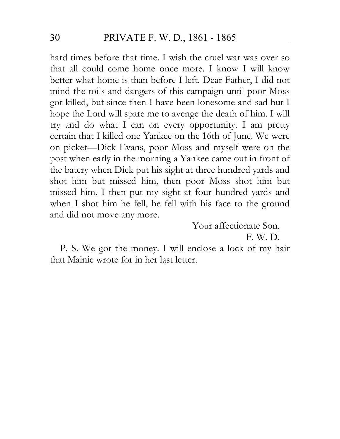hard times before that time. I wish the cruel war was over so that all could come home once more. I know I will know better what home is than before I left. Dear Father, I did not mind the toils and dangers of this campaign until poor Moss got killed, but since then I have been lonesome and sad but I hope the Lord will spare me to avenge the death of him. I will try and do what I can on every opportunity. I am pretty certain that I killed one Yankee on the 16th of June. We were on picket—Dick Evans, poor Moss and myself were on the post when early in the morning a Yankee came out in front of the batery when Dick put his sight at three hundred yards and shot him but missed him, then poor Moss shot him but missed him. I then put my sight at four hundred yards and when I shot him he fell, he fell with his face to the ground and did not move any more.

Your affectionate Son,

F. W. D.

P. S. We got the money. I will enclose a lock of my hair that Mainie wrote for in her last letter.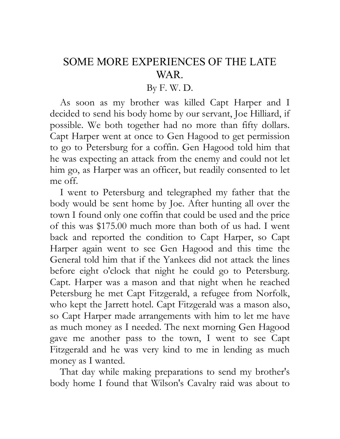### SOME MORE EXPERIENCES OF THE LATE WAR.

#### By F. W. D.

As soon as my brother was killed Capt Harper and I decided to send his body home by our servant, Joe Hilliard, if possible. We both together had no more than fifty dollars. Capt Harper went at once to Gen Hagood to get permission to go to Petersburg for a coffin. Gen Hagood told him that he was expecting an attack from the enemy and could not let him go, as Harper was an officer, but readily consented to let me off.

I went to Petersburg and telegraphed my father that the body would be sent home by Joe. After hunting all over the town I found only one coffin that could be used and the price of this was \$175.00 much more than both of us had. I went back and reported the condition to Capt Harper, so Capt Harper again went to see Gen Hagood and this time the General told him that if the Yankees did not attack the lines before eight o'clock that night he could go to Petersburg. Capt. Harper was a mason and that night when he reached Petersburg he met Capt Fitzgerald, a refugee from Norfolk, who kept the Jarrett hotel. Capt Fitzgerald was a mason also, so Capt Harper made arrangements with him to let me have as much money as I needed. The next morning Gen Hagood gave me another pass to the town, I went to see Capt Fitzgerald and he was very kind to me in lending as much money as I wanted.

That day while making preparations to send my brother's body home I found that Wilson's Cavalry raid was about to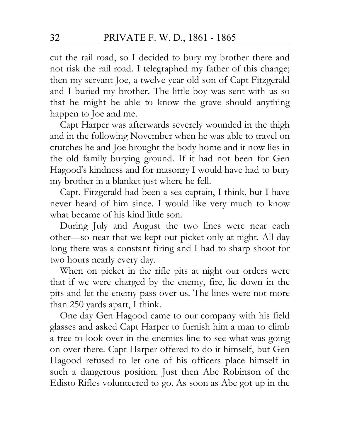cut the rail road, so I decided to bury my brother there and not risk the rail road. I telegraphed my father of this change; then my servant Joe, a twelve year old son of Capt Fitzgerald and I buried my brother. The little boy was sent with us so that he might be able to know the grave should anything happen to Joe and me.

Capt Harper was afterwards severely wounded in the thigh and in the following November when he was able to travel on crutches he and Joe brought the body home and it now lies in the old family burying ground. If it had not been for Gen Hagood's kindness and for masonry I would have had to bury my brother in a blanket just where he fell.

Capt. Fitzgerald had been a sea captain, I think, but I have never heard of him since. I would like very much to know what became of his kind little son.

During July and August the two lines were near each other—so near that we kept out picket only at night. All day long there was a constant firing and I had to sharp shoot for two hours nearly every day.

When on picket in the rifle pits at night our orders were that if we were charged by the enemy, fire, lie down in the pits and let the enemy pass over us. The lines were not more than 250 yards apart, I think.

One day Gen Hagood came to our company with his field glasses and asked Capt Harper to furnish him a man to climb a tree to look over in the enemies line to see what was going on over there. Capt Harper offered to do it himself, but Gen Hagood refused to let one of his officers place himself in such a dangerous position. Just then Abe Robinson of the Edisto Rifles volunteered to go. As soon as Abe got up in the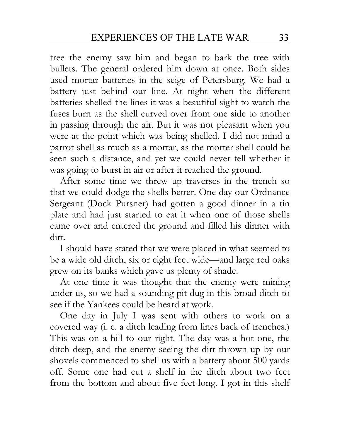tree the enemy saw him and began to bark the tree with bullets. The general ordered him down at once. Both sides used mortar batteries in the seige of Petersburg. We had a battery just behind our line. At night when the different batteries shelled the lines it was a beautiful sight to watch the fuses burn as the shell curved over from one side to another in passing through the air. But it was not pleasant when you were at the point which was being shelled. I did not mind a parrot shell as much as a mortar, as the morter shell could be seen such a distance, and yet we could never tell whether it was going to burst in air or after it reached the ground.

After some time we threw up traverses in the trench so that we could dodge the shells better. One day our Ordnance Sergeant (Dock Pursner) had gotten a good dinner in a tin plate and had just started to eat it when one of those shells came over and entered the ground and filled his dinner with dirt.

I should have stated that we were placed in what seemed to be a wide old ditch, six or eight feet wide—and large red oaks grew on its banks which gave us plenty of shade.

At one time it was thought that the enemy were mining under us, so we had a sounding pit dug in this broad ditch to see if the Yankees could be heard at work.

One day in July I was sent with others to work on a covered way (i. e. a ditch leading from lines back of trenches.) This was on a hill to our right. The day was a hot one, the ditch deep, and the enemy seeing the dirt thrown up by our shovels commenced to shell us with a battery about 500 yards off. Some one had cut a shelf in the ditch about two feet from the bottom and about five feet long. I got in this shelf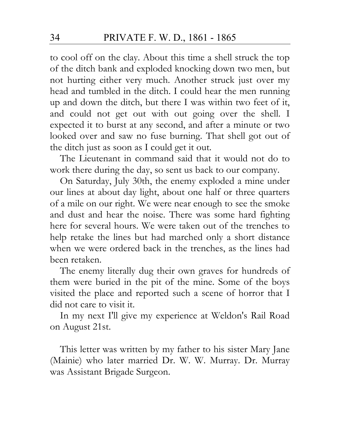to cool off on the clay. About this time a shell struck the top of the ditch bank and exploded knocking down two men, but not hurting either very much. Another struck just over my head and tumbled in the ditch. I could hear the men running up and down the ditch, but there I was within two feet of it, and could not get out with out going over the shell. I expected it to burst at any second, and after a minute or two looked over and saw no fuse burning. That shell got out of the ditch just as soon as I could get it out.

The Lieutenant in command said that it would not do to work there during the day, so sent us back to our company.

On Saturday, July 30th, the enemy exploded a mine under our lines at about day light, about one half or three quarters of a mile on our right. We were near enough to see the smoke and dust and hear the noise. There was some hard fighting here for several hours. We were taken out of the trenches to help retake the lines but had marched only a short distance when we were ordered back in the trenches, as the lines had been retaken.

The enemy literally dug their own graves for hundreds of them were buried in the pit of the mine. Some of the boys visited the place and reported such a scene of horror that I did not care to visit it.

In my next I'll give my experience at Weldon's Rail Road on August 21st.

This letter was written by my father to his sister Mary Jane (Mainie) who later married Dr. W. W. Murray. Dr. Murray was Assistant Brigade Surgeon.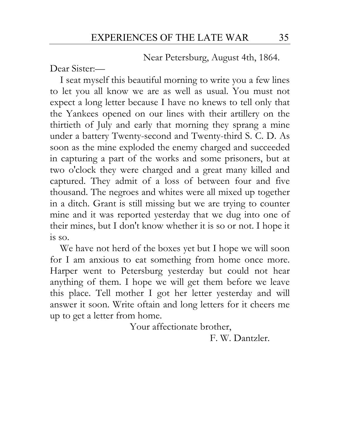Near Petersburg, August 4th, 1864.

Dear Sister:—

I seat myself this beautiful morning to write you a few lines to let you all know we are as well as usual. You must not expect a long letter because I have no knews to tell only that the Yankees opened on our lines with their artillery on the thirtieth of July and early that morning they sprang a mine under a battery Twenty-second and Twenty-third S. C. D. As soon as the mine exploded the enemy charged and succeeded in capturing a part of the works and some prisoners, but at two o'clock they were charged and a great many killed and captured. They admit of a loss of between four and five thousand. The negroes and whites were all mixed up together in a ditch. Grant is still missing but we are trying to counter mine and it was reported yesterday that we dug into one of their mines, but I don't know whether it is so or not. I hope it is so.

We have not herd of the boxes yet but I hope we will soon for I am anxious to eat something from home once more. Harper went to Petersburg yesterday but could not hear anything of them. I hope we will get them before we leave this place. Tell mother I got her letter yesterday and will answer it soon. Write oftain and long letters for it cheers me up to get a letter from home.

Your affectionate brother,

F. W. Dantzler.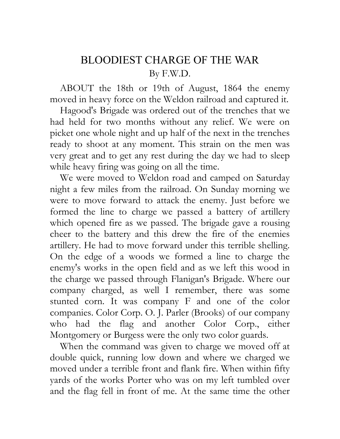# BLOODIEST CHARGE OF THE WAR By F.W.D.

ABOUT the 18th or 19th of August, 1864 the enemy moved in heavy force on the Weldon railroad and captured it.

Hagood's Brigade was ordered out of the trenches that we had held for two months without any relief. We were on picket one whole night and up half of the next in the trenches ready to shoot at any moment. This strain on the men was very great and to get any rest during the day we had to sleep while heavy firing was going on all the time.

We were moved to Weldon road and camped on Saturday night a few miles from the railroad. On Sunday morning we were to move forward to attack the enemy. Just before we formed the line to charge we passed a battery of artillery which opened fire as we passed. The brigade gave a rousing cheer to the battery and this drew the fire of the enemies artillery. He had to move forward under this terrible shelling. On the edge of a woods we formed a line to charge the enemy's works in the open field and as we left this wood in the charge we passed through Flanigan's Brigade. Where our company charged, as well I remember, there was some stunted corn. It was company F and one of the color companies. Color Corp. O. J. Parler (Brooks) of our company who had the flag and another Color Corp., either Montgomery or Burgess were the only two color guards.

When the command was given to charge we moved off at double quick, running low down and where we charged we moved under a terrible front and flank fire. When within fifty yards of the works Porter who was on my left tumbled over and the flag fell in front of me. At the same time the other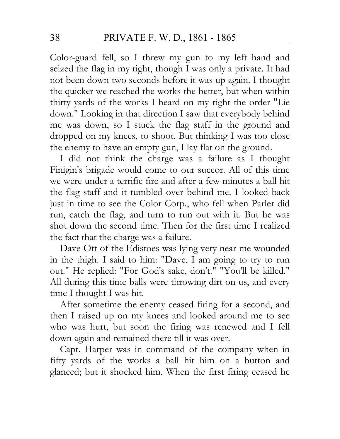Color-guard fell, so I threw my gun to my left hand and seized the flag in my right, though I was only a private. It had not been down two seconds before it was up again. I thought the quicker we reached the works the better, but when within thirty yards of the works I heard on my right the order "Lie down." Looking in that direction I saw that everybody behind me was down, so I stuck the flag staff in the ground and dropped on my knees, to shoot. But thinking I was too close the enemy to have an empty gun, I lay flat on the ground.

I did not think the charge was a failure as I thought Finigin's brigade would come to our succor. All of this time we were under a terrific fire and after a few minutes a ball hit the flag staff and it tumbled over behind me. I looked back just in time to see the Color Corp., who fell when Parler did run, catch the flag, and turn to run out with it. But he was shot down the second time. Then for the first time I realized the fact that the charge was a failure.

Dave Ott of the Edistoes was lying very near me wounded in the thigh. I said to him: "Dave, I am going to try to run out." He replied: "For God's sake, don't." "You'll be killed." All during this time balls were throwing dirt on us, and every time I thought I was hit.

After sometime the enemy ceased firing for a second, and then I raised up on my knees and looked around me to see who was hurt, but soon the firing was renewed and I fell down again and remained there till it was over.

Capt. Harper was in command of the company when in fifty yards of the works a ball hit him on a button and glanced; but it shocked him. When the first firing ceased he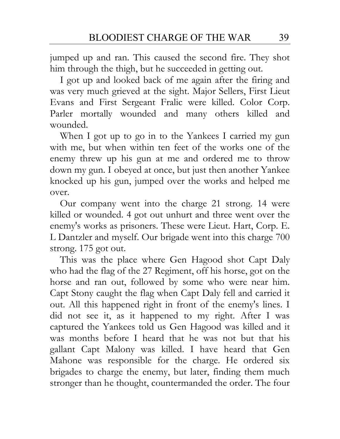jumped up and ran. This caused the second fire. They shot him through the thigh, but he succeeded in getting out.

I got up and looked back of me again after the firing and was very much grieved at the sight. Major Sellers, First Lieut Evans and First Sergeant Fralic were killed. Color Corp. Parler mortally wounded and many others killed and wounded.

When I got up to go in to the Yankees I carried my gun with me, but when within ten feet of the works one of the enemy threw up his gun at me and ordered me to throw down my gun. I obeyed at once, but just then another Yankee knocked up his gun, jumped over the works and helped me over.

Our company went into the charge 21 strong. 14 were killed or wounded. 4 got out unhurt and three went over the enemy's works as prisoners. These were Lieut. Hart, Corp. E. L Dantzler and myself. Our brigade went into this charge 700 strong. 175 got out.

This was the place where Gen Hagood shot Capt Daly who had the flag of the 27 Regiment, off his horse, got on the horse and ran out, followed by some who were near him. Capt Stony caught the flag when Capt Daly fell and carried it out. All this happened right in front of the enemy's lines. I did not see it, as it happened to my right. After I was captured the Yankees told us Gen Hagood was killed and it was months before I heard that he was not but that his gallant Capt Malony was killed. I have heard that Gen Mahone was responsible for the charge. He ordered six brigades to charge the enemy, but later, finding them much stronger than he thought, countermanded the order. The four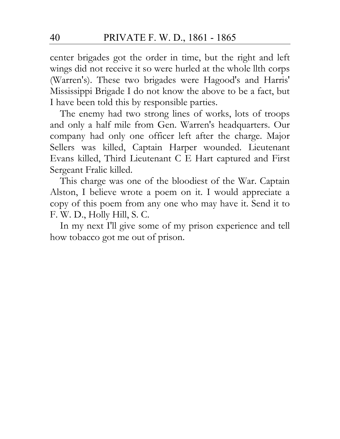center brigades got the order in time, but the right and left wings did not receive it so were hurled at the whole llth corps (Warren's). These two brigades were Hagood's and Harris' Mississippi Brigade I do not know the above to be a fact, but I have been told this by responsible parties.

The enemy had two strong lines of works, lots of troops and only a half mile from Gen. Warren's headquarters. Our company had only one officer left after the charge. Major Sellers was killed, Captain Harper wounded. Lieutenant Evans killed, Third Lieutenant C E Hart captured and First Sergeant Fralic killed.

This charge was one of the bloodiest of the War. Captain Alston, I believe wrote a poem on it. I would appreciate a copy of this poem from any one who may have it. Send it to F. W. D., Holly Hill, S. C.

In my next I'll give some of my prison experience and tell how tobacco got me out of prison.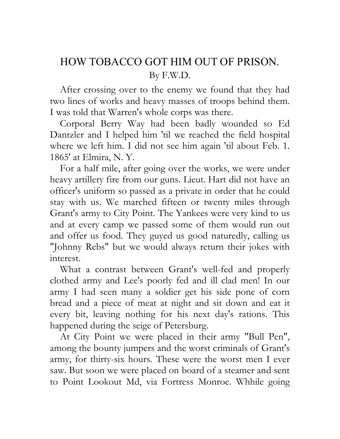# HOW TOBACCO GOT HIM OUT OF PRISON. By F.W.D.

After crossing over to the enemy we found that they had two lines of works and heavy masses of troops behind them. I was told that Warren's whole corps was there.

Corporal Berry Way had been badly wounded so Ed Dantzler and I helped him 'til we reached the field hospital where we left him. I did not see him again 'til about Feb. 1. 1865' at Elmira, N. Y.

For a half mile, after going over the works, we were under heavy artillery fire from our guns. Lieut. Hart did not have an officer's uniform so passed as a private in order that he could stay with us. We marched fifteen or twenty miles through Grant's army to City Point. The Yankees were very kind to us and at every camp we passed some of them would run out and offer us food. They guyed us good naturedly, calling us "Johnny Rebs" but we would always return their jokes with interest.

What a contrast between Grant's well-fed and properly clothed army and Lee's poorly fed and ill clad men! In our army I had seen many a soldier get his side pone of corn bread and a piece of meat at night and sit down and eat it every bit, leaving nothing for his next day's rations. This happened during the seige of Petersburg.

At City Point we were placed in their army "Bull Pen", among the bounty jumpers and the worst criminals of Grant's army, for thirty-six hours. These were the worst men I ever saw. But soon we were placed on board of a steamer and sent to Point Lookout Md, via Fortress Monroe. Whhile going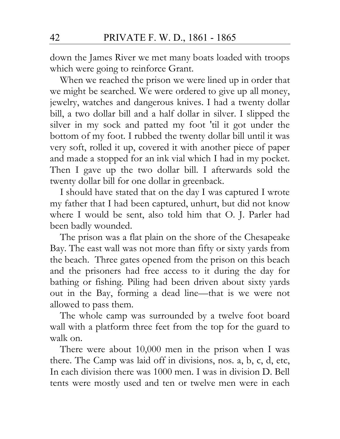down the James River we met many boats loaded with troops which were going to reinforce Grant.

When we reached the prison we were lined up in order that we might be searched. We were ordered to give up all money, jewelry, watches and dangerous knives. I had a twenty dollar bill, a two dollar bill and a half dollar in silver. I slipped the silver in my sock and patted my foot 'til it got under the bottom of my foot. I rubbed the twenty dollar bill until it was very soft, rolled it up, covered it with another piece of paper and made a stopped for an ink vial which I had in my pocket. Then I gave up the two dollar bill. I afterwards sold the twenty dollar bill for one dollar in greenback.

I should have stated that on the day I was captured I wrote my father that I had been captured, unhurt, but did not know where I would be sent, also told him that O. J. Parler had been badly wounded.

The prison was a flat plain on the shore of the Chesapeake Bay. The east wall was not more than fifty or sixty yards from the beach. Three gates opened from the prison on this beach and the prisoners had free access to it during the day for bathing or fishing. Piling had been driven about sixty yards out in the Bay, forming a dead line—that is we were not allowed to pass them.

The whole camp was surrounded by a twelve foot board wall with a platform three feet from the top for the guard to walk on.

There were about 10,000 men in the prison when I was there. The Camp was laid off in divisions, nos. a, b, c, d, etc, In each division there was 1000 men. I was in division D. Bell tents were mostly used and ten or twelve men were in each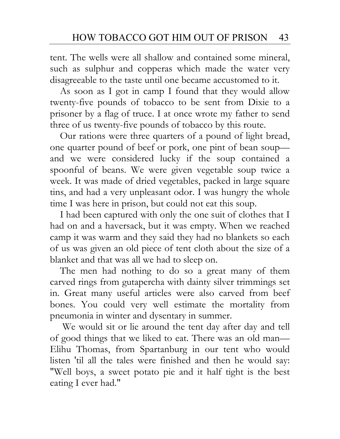tent. The wells were all shallow and contained some mineral, such as sulphur and copperas which made the water very disagreeable to the taste until one became accustomed to it.

As soon as I got in camp I found that they would allow twenty-five pounds of tobacco to be sent from Dixie to a prisoner by a flag of truce. I at once wrote my father to send three of us twenty-five pounds of tobacco by this route.

Our rations were three quarters of a pound of light bread, one quarter pound of beef or pork, one pint of bean soup and we were considered lucky if the soup contained a spoonful of beans. We were given vegetable soup twice a week. It was made of dried vegetables, packed in large square tins, and had a very unpleasant odor. I was hungry the whole time I was here in prison, but could not eat this soup.

I had been captured with only the one suit of clothes that I had on and a haversack, but it was empty. When we reached camp it was warm and they said they had no blankets so each of us was given an old piece of tent cloth about the size of a blanket and that was all we had to sleep on.

The men had nothing to do so a great many of them carved rings from gutapercha with dainty silver trimmings set in. Great many useful articles were also carved from beef bones. You could very well estimate the mortality from pneumonia in winter and dysentary in summer.

 We would sit or lie around the tent day after day and tell of good things that we liked to eat. There was an old man— Elihu Thomas, from Spartanburg in our tent who would listen 'til all the tales were finished and then he would say: "Well boys, a sweet potato pie and it half tight is the best eating I ever had."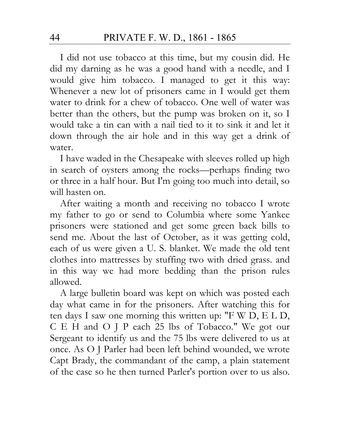I did not use tobacco at this time, but my cousin did. He did my darning as he was a good hand with a needle, and I would give him tobacco. I managed to get it this way: Whenever a new lot of prisoners came in I would get them water to drink for a chew of tobacco. One well of water was better than the others, but the pump was broken on it, so I would take a tin can with a nail tied to it to sink it and let it down through the air hole and in this way get a drink of water.

I have waded in the Chesapeake with sleeves rolled up high in search of oysters among the rocks—perhaps finding two or three in a half hour. But I'm going too much into detail, so will hasten on.

After waiting a month and receiving no tobacco I wrote my father to go or send to Columbia where some Yankee prisoners were stationed and get some green back bills to send me. About the last of October, as it was getting cold, each of us were given a U. S. blanket. We made the old tent clothes into mattresses by stuffing two with dried grass. and in this way we had more bedding than the prison rules allowed.

A large bulletin board was kept on which was posted each day what came in for the prisoners. After watching this for ten days I saw one morning this written up: "F W D, E L D, C E H and O J P each 25 lbs of Tobacco." We got our Sergeant to identify us and the 75 lbs were delivered to us at once. As O J Parler had been left behind wounded, we wrote Capt Brady, the commandant of the camp, a plain statement of the case so he then turned Parler's portion over to us also.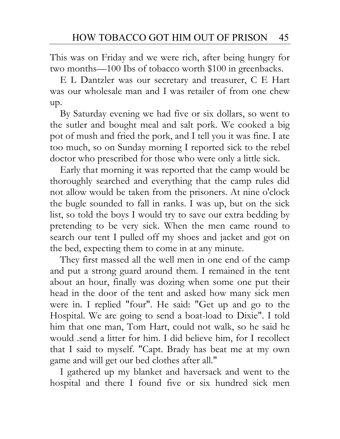This was on Friday and we were rich, after being hungry for two months—100 Ibs of tobacco worth \$100 in greenbacks.

E L Dantzler was our secretary and treasurer, C E Hart was our wholesale man and I was retailer of from one chew up.

By Saturday evening we had five or six dollars, so went to the sutler and bought meal and salt pork. We cooked a big pot of mush and fried the pork, and I tell you it was fine. I ate too much, so on Sunday morning I reported sick to the rebel doctor who prescribed for those who were only a little sick.

Early that morning it was reported that the camp would be thoroughly searched and everything that the camp rules did not allow would be taken from the prisoners. At nine o'clock the bugle sounded to fall in ranks. I was up, but on the sick list, so told the boys I would try to save our extra bedding by pretending to be very sick. When the men came round to search our tent I pulled off my shoes and jacket and got on the bed, expecting them to come in at any minute.

They first massed all the well men in one end of the camp and put a strong guard around them. I remained in the tent about an hour, finally was dozing when some one put their head in the door of the tent and asked how many sick men were in. I replied "four". He said: "Get up and go to the Hospital. We are going to send a boat-load to Dixie". I told him that one man, Tom Hart, could not walk, so he said he would .send a litter for him. I did believe him, for I recollect that I said to myself. "Capt. Brady has beat me at my own game and will get our bed clothes after all."

I gathered up my blanket and haversack and went to the hospital and there I found five or six hundred sick men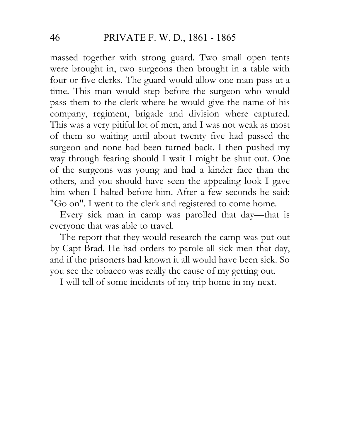massed together with strong guard. Two small open tents were brought in, two surgeons then brought in a table with four or five clerks. The guard would allow one man pass at a time. This man would step before the surgeon who would pass them to the clerk where he would give the name of his company, regiment, brigade and division where captured. This was a very pitiful lot of men, and I was not weak as most of them so waiting until about twenty five had passed the surgeon and none had been turned back. I then pushed my way through fearing should I wait I might be shut out. One of the surgeons was young and had a kinder face than the others, and you should have seen the appealing look I gave him when I halted before him. After a few seconds he said: "Go on". I went to the clerk and registered to come home.

Every sick man in camp was parolled that day—that is everyone that was able to travel.

The report that they would research the camp was put out by Capt Brad. He had orders to parole all sick men that day, and if the prisoners had known it all would have been sick. So you see the tobacco was really the cause of my getting out.

I will tell of some incidents of my trip home in my next.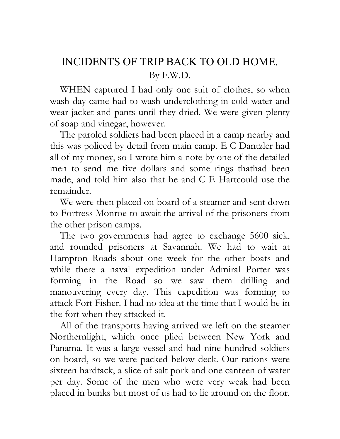# INCIDENTS OF TRIP BACK TO OLD HOME. By F.W.D.

WHEN captured I had only one suit of clothes, so when wash day came had to wash underclothing in cold water and wear jacket and pants until they dried. We were given plenty of soap and vinegar, however.

The paroled soldiers had been placed in a camp nearby and this was policed by detail from main camp. E C Dantzler had all of my money, so I wrote him a note by one of the detailed men to send me five dollars and some rings thathad been made, and told him also that he and C E Hartcould use the remainder.

We were then placed on board of a steamer and sent down to Fortress Monroe to await the arrival of the prisoners from the other prison camps.

The two governments had agree to exchange 5600 sick, and rounded prisoners at Savannah. We had to wait at Hampton Roads about one week for the other boats and while there a naval expedition under Admiral Porter was forming in the Road so we saw them drilling and manouvering every day. This expedition was forming to attack Fort Fisher. I had no idea at the time that I would be in the fort when they attacked it.

All of the transports having arrived we left on the steamer Northernlight, which once plied between New York and Panama. It was a large vessel and had nine hundred soldiers on board, so we were packed below deck. Our rations were sixteen hardtack, a slice of salt pork and one canteen of water per day. Some of the men who were very weak had been placed in bunks but most of us had to lie around on the floor.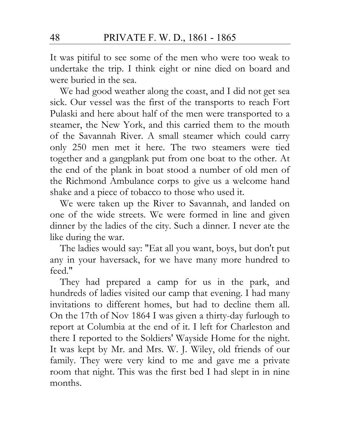It was pitiful to see some of the men who were too weak to undertake the trip. I think eight or nine died on board and were buried in the sea.

We had good weather along the coast, and I did not get sea sick. Our vessel was the first of the transports to reach Fort Pulaski and here about half of the men were transported to a steamer, the New York, and this carried them to the mouth of the Savannah River. A small steamer which could carry only 250 men met it here. The two steamers were tied together and a gangplank put from one boat to the other. At the end of the plank in boat stood a number of old men of the Richmond Ambulance corps to give us a welcome hand shake and a piece of tobacco to those who used it.

We were taken up the River to Savannah, and landed on one of the wide streets. We were formed in line and given dinner by the ladies of the city. Such a dinner. I never ate the like during the war.

The ladies would say: "Eat all you want, boys, but don't put any in your haversack, for we have many more hundred to feed."

They had prepared a camp for us in the park, and hundreds of ladies visited our camp that evening. I had many invitations to different homes, but had to decline them all. On the 17th of Nov 1864 I was given a thirty-day furlough to report at Columbia at the end of it. I left for Charleston and there I reported to the Soldiers' Wayside Home for the night. It was kept by Mr. and Mrs. W. J. Wiley, old friends of our family. They were very kind to me and gave me a private room that night. This was the first bed I had slept in in nine months.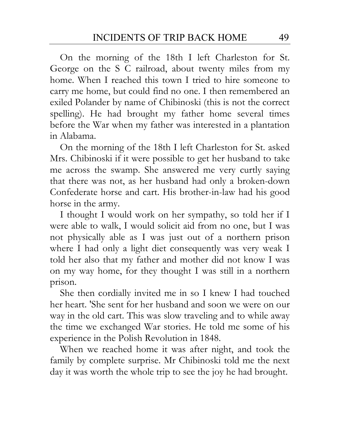On the morning of the 18th I left Charleston for St. George on the S C railroad, about twenty miles from my home. When I reached this town I tried to hire someone to carry me home, but could find no one. I then remembered an exiled Polander by name of Chibinoski (this is not the correct spelling). He had brought my father home several times before the War when my father was interested in a plantation in Alabama.

On the morning of the 18th I left Charleston for St. asked Mrs. Chibinoski if it were possible to get her husband to take me across the swamp. She answered me very curtly saying that there was not, as her husband had only a broken-down Confederate horse and cart. His brother-in-law had his good horse in the army.

I thought I would work on her sympathy, so told her if I were able to walk, I would solicit aid from no one, but I was not physically able as I was just out of a northern prison where I had only a light diet consequently was very weak I told her also that my father and mother did not know I was on my way home, for they thought I was still in a northern prison.

She then cordially invited me in so I knew I had touched her heart. 'She sent for her husband and soon we were on our way in the old cart. This was slow traveling and to while away the time we exchanged War stories. He told me some of his experience in the Polish Revolution in 1848.

When we reached home it was after night, and took the family by complete surprise. Mr Chibinoski told me the next day it was worth the whole trip to see the joy he had brought.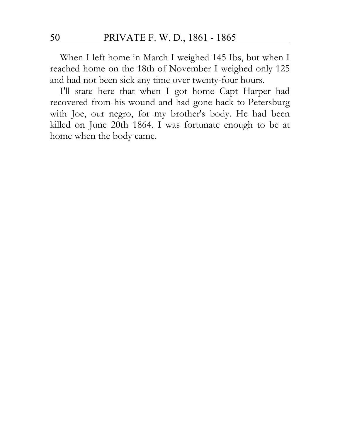When I left home in March I weighed 145 Ibs, but when I reached home on the 18th of November I weighed only 125 and had not been sick any time over twenty-four hours.

I'll state here that when I got home Capt Harper had recovered from his wound and had gone back to Petersburg with Joe, our negro, for my brother's body. He had been killed on June 20th 1864. I was fortunate enough to be at home when the body came.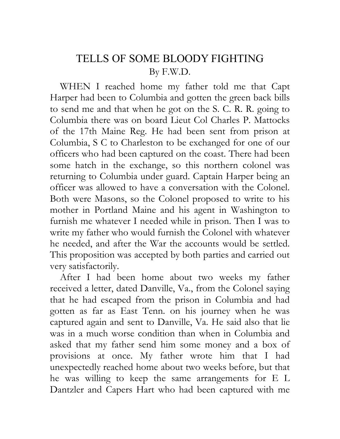### TELLS OF SOME BLOODY FIGHTING By F.W.D.

WHEN I reached home my father told me that Capt Harper had been to Columbia and gotten the green back bills to send me and that when he got on the S. C. R. R. going to Columbia there was on board Lieut Col Charles P. Mattocks of the 17th Maine Reg. He had been sent from prison at Columbia, S C to Charleston to be exchanged for one of our officers who had been captured on the coast. There had been some hatch in the exchange, so this northern colonel was returning to Columbia under guard. Captain Harper being an officer was allowed to have a conversation with the Colonel. Both were Masons, so the Colonel proposed to write to his mother in Portland Maine and his agent in Washington to furnish me whatever I needed while in prison. Then I was to write my father who would furnish the Colonel with whatever he needed, and after the War the accounts would be settled. This proposition was accepted by both parties and carried out very satisfactorily.

After I had been home about two weeks my father received a letter, dated Danville, Va., from the Colonel saying that he had escaped from the prison in Columbia and had gotten as far as East Tenn. on his journey when he was captured again and sent to Danville, Va. He said also that lie was in a much worse condition than when in Columbia and asked that my father send him some money and a box of provisions at once. My father wrote him that I had unexpectedly reached home about two weeks before, but that he was willing to keep the same arrangements for E L Dantzler and Capers Hart who had been captured with me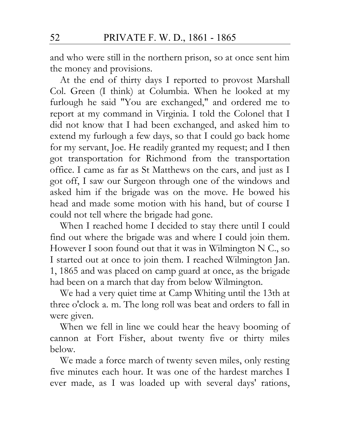and who were still in the northern prison, so at once sent him the money and provisions.

At the end of thirty days I reported to provost Marshall Col. Green (I think) at Columbia. When he looked at my furlough he said "You are exchanged," and ordered me to report at my command in Virginia. I told the Colonel that I did not know that I had been exchanged, and asked him to extend my furlough a few days, so that I could go back home for my servant, Joe. He readily granted my request; and I then got transportation for Richmond from the transportation office. I came as far as St Matthews on the cars, and just as I got off, I saw our Surgeon through one of the windows and asked him if the brigade was on the move. He bowed his head and made some motion with his hand, but of course I could not tell where the brigade had gone.

When I reached home I decided to stay there until I could find out where the brigade was and where I could join them. However I soon found out that it was in Wilmington N C., so I started out at once to join them. I reached Wilmington Jan. 1, 1865 and was placed on camp guard at once, as the brigade had been on a march that day from below Wilmington.

We had a very quiet time at Camp Whiting until the 13th at three o'clock a. m. The long roll was beat and orders to fall in were given.

When we fell in line we could hear the heavy booming of cannon at Fort Fisher, about twenty five or thirty miles below.

We made a force march of twenty seven miles, only resting five minutes each hour. It was one of the hardest marches I ever made, as I was loaded up with several days' rations,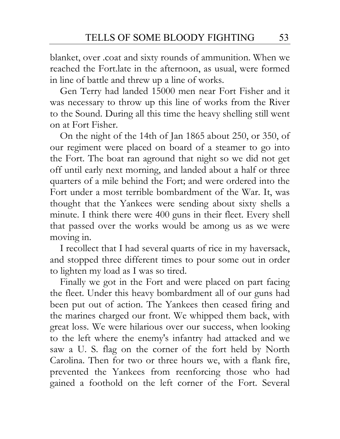blanket, over .coat and sixty rounds of ammunition. When we reached the Fort.late in the afternoon, as usual, were formed in line of battle and threw up a line of works.

Gen Terry had landed 15000 men near Fort Fisher and it was necessary to throw up this line of works from the River to the Sound. During all this time the heavy shelling still went on at Fort Fisher.

On the night of the 14th of Jan 1865 about 250, or 350, of our regiment were placed on board of a steamer to go into the Fort. The boat ran aground that night so we did not get off until early next morning, and landed about a half or three quarters of a mile behind the Fort; and were ordered into the Fort under a most terrible bombardment of the War. It, was thought that the Yankees were sending about sixty shells a minute. I think there were 400 guns in their fleet. Every shell that passed over the works would be among us as we were moving in.

I recollect that I had several quarts of rice in my haversack, and stopped three different times to pour some out in order to lighten my load as I was so tired.

Finally we got in the Fort and were placed on part facing the fleet. Under this heavy bombardment all of our guns had been put out of action. The Yankees then ceased firing and the marines charged our front. We whipped them back, with great loss. We were hilarious over our success, when looking to the left where the enemy's infantry had attacked and we saw a U. S. flag on the corner of the fort held by North Carolina. Then for two or three hours we, with a flank fire, prevented the Yankees from reenforcing those who had gained a foothold on the left corner of the Fort. Several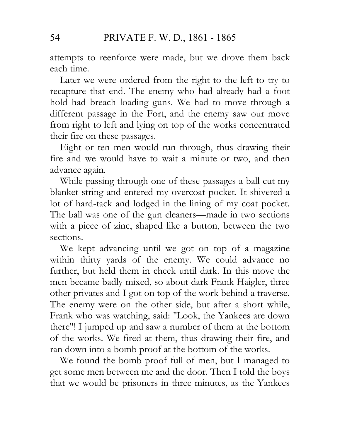attempts to reenforce were made, but we drove them back each time.

Later we were ordered from the right to the left to try to recapture that end. The enemy who had already had a foot hold had breach loading guns. We had to move through a different passage in the Fort, and the enemy saw our move from right to left and lying on top of the works concentrated their fire on these passages.

Eight or ten men would run through, thus drawing their fire and we would have to wait a minute or two, and then advance again.

While passing through one of these passages a ball cut my blanket string and entered my overcoat pocket. It shivered a lot of hard-tack and lodged in the lining of my coat pocket. The ball was one of the gun cleaners—made in two sections with a piece of zinc, shaped like a button, between the two sections.

We kept advancing until we got on top of a magazine within thirty yards of the enemy. We could advance no further, but held them in check until dark. In this move the men became badly mixed, so about dark Frank Haigler, three other privates and I got on top of the work behind a traverse. The enemy were on the other side, but after a short while, Frank who was watching, said: "Look, the Yankees are down there"! I jumped up and saw a number of them at the bottom of the works. We fired at them, thus drawing their fire, and ran down into a bomb proof at the bottom of the works.

We found the bomb proof full of men, but I managed to get some men between me and the door. Then I told the boys that we would be prisoners in three minutes, as the Yankees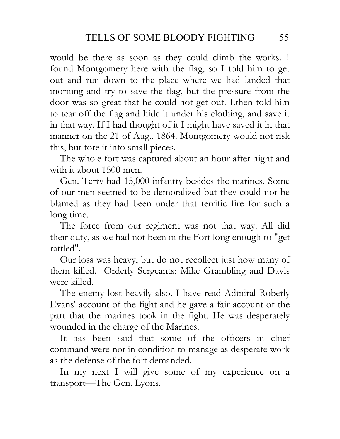would be there as soon as they could climb the works. I found Montgomery here with the flag, so I told him to get out and run down to the place where we had landed that morning and try to save the flag, but the pressure from the door was so great that he could not get out. I.then told him to tear off the flag and hide it under his clothing, and save it in that way. If I had thought of it I might have saved it in that manner on the 21 of Aug., 1864. Montgomery would not risk this, but tore it into small pieces.

The whole fort was captured about an hour after night and with it about 1500 men.

Gen. Terry had 15,000 infantry besides the marines. Some of our men seemed to be demoralized but they could not be blamed as they had been under that terrific fire for such a long time.

The force from our regiment was not that way. All did their duty, as we had not been in the Fort long enough to "get rattled".

Our loss was heavy, but do not recollect just how many of them killed. Orderly Sergeants; Mike Grambling and Davis were killed.

The enemy lost heavily also. I have read Admiral Roberly Evans' account of the fight and he gave a fair account of the part that the marines took in the fight. He was desperately wounded in the charge of the Marines.

It has been said that some of the officers in chief command were not in condition to manage as desperate work as the defense of the fort demanded.

In my next I will give some of my experience on a transport—The Gen. Lyons.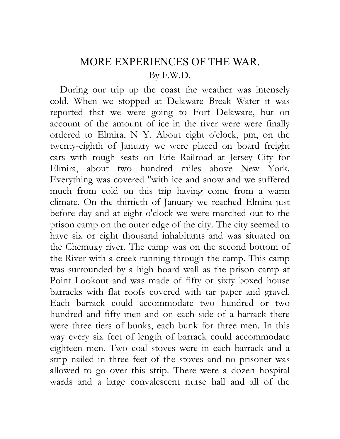#### MORE EXPERIENCES OF THE WAR. By F.W.D.

During our trip up the coast the weather was intensely cold. When we stopped at Delaware Break Water it was reported that we were going to Fort Delaware, but on account of the amount of ice in the river were were finally ordered to Elmira, N Y. About eight o'clock, pm, on the twenty-eighth of January we were placed on board freight cars with rough seats on Erie Railroad at Jersey City for Elmira, about two hundred miles above New York. Everything was covered "with ice and snow and we suffered much from cold on this trip having come from a warm climate. On the thirtieth of January we reached Elmira just before day and at eight o'clock we were marched out to the prison camp on the outer edge of the city. The city seemed to have six or eight thousand inhabitants and was situated on the Chemuxy river. The camp was on the second bottom of the River with a creek running through the camp. This camp was surrounded by a high board wall as the prison camp at Point Lookout and was made of fifty or sixty boxed house barracks with flat roofs covered with tar paper and gravel. Each barrack could accommodate two hundred or two hundred and fifty men and on each side of a barrack there were three tiers of bunks, each bunk for three men. In this way every six feet of length of barrack could accommodate eighteen men. Two coal stoves were in each barrack and a strip nailed in three feet of the stoves and no prisoner was allowed to go over this strip. There were a dozen hospital wards and a large convalescent nurse hall and all of the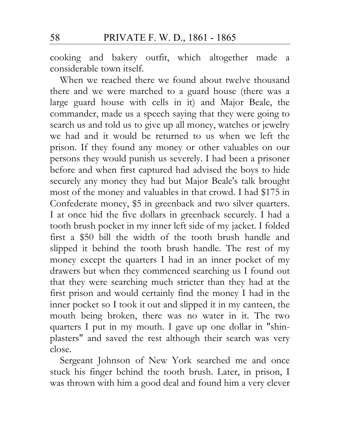cooking and bakery outfit, which altogether made a considerable town itself.

When we reached there we found about twelve thousand there and we were marched to a guard house (there was a large guard house with cells in it) and Major Beale, the commander, made us a speech saying that they were going to search us and told us to give up all money, watches or jewelry we had and it would be returned to us when we left the prison. If they found any money or other valuables on our persons they would punish us severely. I had been a prisoner before and when first captured had advised the boys to hide securely any money they had but Major Beale's talk brought most of the money and valuables in that crowd. I had \$175 in Confederate money, \$5 in greenback and two silver quarters. I at once hid the five dollars in greenback securely. I had a tooth brush pocket in my inner left side of my jacket. I folded first a \$50 bill the width of the tooth brush handle and slipped it behind the tooth brush handle. The rest of my money except the quarters I had in an inner pocket of my drawers but when they commenced searching us I found out that they were searching much stricter than they had at the first prison and would certainly find the money I had in the inner pocket so I took it out and slipped it in my canteen, the mouth being broken, there was no water in it. The two quarters I put in my mouth. I gave up one dollar in "shinplasters" and saved the rest although their search was very close.

Sergeant Johnson of New York searched me and once stuck his finger behind the tooth brush. Later, in prison, I was thrown with him a good deal and found him a very clever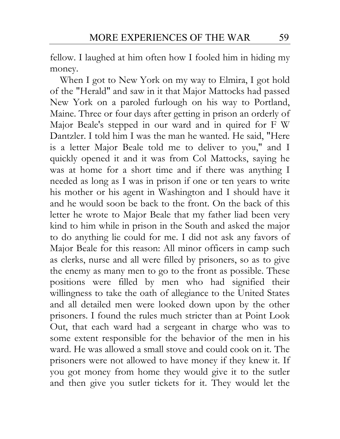fellow. I laughed at him often how I fooled him in hiding my money.

When I got to New York on my way to Elmira, I got hold of the "Herald" and saw in it that Major Mattocks had passed New York on a paroled furlough on his way to Portland, Maine. Three or four days after getting in prison an orderly of Major Beale's stepped in our ward and in quired for F W Dantzler. I told him I was the man he wanted. He said, "Here is a letter Major Beale told me to deliver to you," and I quickly opened it and it was from Col Mattocks, saying he was at home for a short time and if there was anything I needed as long as I was in prison if one or ten years to write his mother or his agent in Washington and I should have it and he would soon be back to the front. On the back of this letter he wrote to Major Beale that my father liad been very kind to him while in prison in the South and asked the major to do anything lie could for me. I did not ask any favors of Major Beale for this reason: All minor officers in camp such as clerks, nurse and all were filled by prisoners, so as to give the enemy as many men to go to the front as possible. These positions were filled by men who had signified their willingness to take the oath of allegiance to the United States and all detailed men were looked down upon by the other prisoners. I found the rules much stricter than at Point Look Out, that each ward had a sergeant in charge who was to some extent responsible for the behavior of the men in his ward. He was allowed a small stove and could cook on it. The prisoners were not allowed to have money if they knew it. If you got money from home they would give it to the sutler and then give you sutler tickets for it. They would let the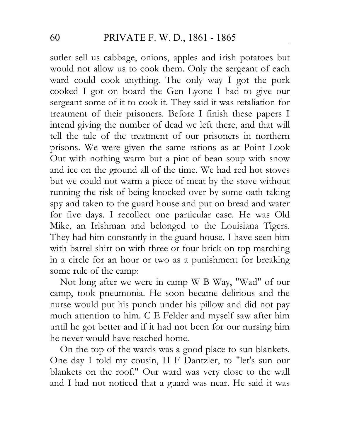sutler sell us cabbage, onions, apples and irish potatoes but would not allow us to cook them. Only the sergeant of each ward could cook anything. The only way I got the pork cooked I got on board the Gen Lyone I had to give our sergeant some of it to cook it. They said it was retaliation for treatment of their prisoners. Before I finish these papers I intend giving the number of dead we left there, and that will tell the tale of the treatment of our prisoners in northern prisons. We were given the same rations as at Point Look Out with nothing warm but a pint of bean soup with snow and ice on the ground all of the time. We had red hot stoves but we could not warm a piece of meat by the stove without running the risk of being knocked over by some oath taking spy and taken to the guard house and put on bread and water for five days. I recollect one particular case. He was Old Mike, an Irishman and belonged to the Louisiana Tigers. They had him constantly in the guard house. I have seen him with barrel shirt on with three or four brick on top marching in a circle for an hour or two as a punishment for breaking some rule of the camp:

Not long after we were in camp W B Way, "Wad" of our camp, took pneumonia. He soon became delirious and the nurse would put his punch under his pillow and did not pay much attention to him. C E Felder and myself saw after him until he got better and if it had not been for our nursing him he never would have reached home.

On the top of the wards was a good place to sun blankets. One day I told my cousin, H F Dantzler, to "let's sun our blankets on the roof." Our ward was very close to the wall and I had not noticed that a guard was near. He said it was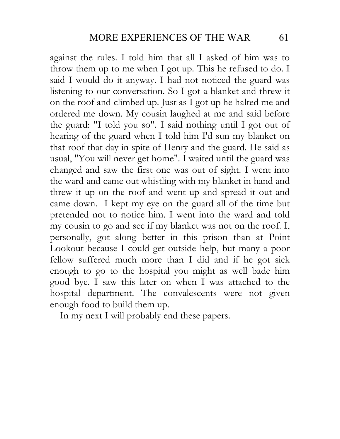against the rules. I told him that all I asked of him was to throw them up to me when I got up. This he refused to do. I said I would do it anyway. I had not noticed the guard was listening to our conversation. So I got a blanket and threw it on the roof and climbed up. Just as I got up he halted me and ordered me down. My cousin laughed at me and said before the guard: "I told you so". I said nothing until I got out of hearing of the guard when I told him I'd sun my blanket on that roof that day in spite of Henry and the guard. He said as usual, "You will never get home". I waited until the guard was changed and saw the first one was out of sight. I went into the ward and came out whistling with my blanket in hand and threw it up on the roof and went up and spread it out and came down. I kept my eye on the guard all of the time but pretended not to notice him. I went into the ward and told my cousin to go and see if my blanket was not on the roof. I, personally, got along better in this prison than at Point Lookout because I could get outside help, but many a poor fellow suffered much more than I did and if he got sick enough to go to the hospital you might as well bade him good bye. I saw this later on when I was attached to the hospital department. The convalescents were not given enough food to build them up.

In my next I will probably end these papers.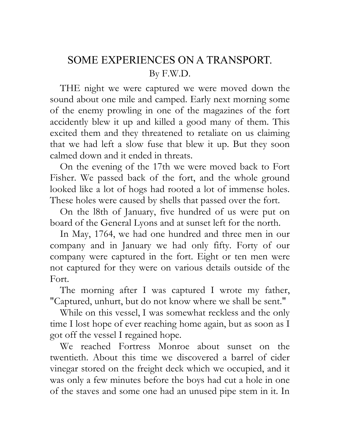# SOME EXPERIENCES ON A TRANSPORT. By F.W.D.

THE night we were captured we were moved down the sound about one mile and camped. Early next morning some of the enemy prowling in one of the magazines of the fort accidently blew it up and killed a good many of them. This excited them and they threatened to retaliate on us claiming that we had left a slow fuse that blew it up. But they soon calmed down and it ended in threats.

On the evening of the 17th we were moved back to Fort Fisher. We passed back of the fort, and the whole ground looked like a lot of hogs had rooted a lot of immense holes. These holes were caused by shells that passed over the fort.

On the l8th of January, five hundred of us were put on board of the General Lyons and at sunset left for the north.

In May, 1764, we had one hundred and three men in our company and in January we had only fifty. Forty of our company were captured in the fort. Eight or ten men were not captured for they were on various details outside of the Fort.

The morning after I was captured I wrote my father, "Captured, unhurt, but do not know where we shall be sent."

While on this vessel, I was somewhat reckless and the only time I lost hope of ever reaching home again, but as soon as I got off the vessel I regained hope.

We reached Fortress Monroe about sunset on the twentieth. About this time we discovered a barrel of cider vinegar stored on the freight deck which we occupied, and it was only a few minutes before the boys had cut a hole in one of the staves and some one had an unused pipe stem in it. In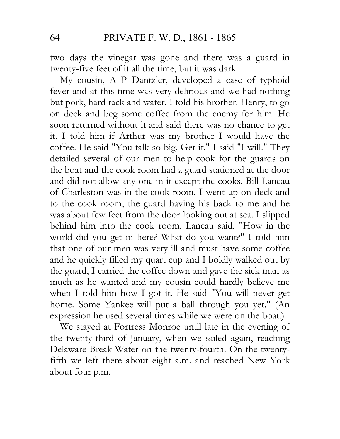two days the vinegar was gone and there was a guard in twenty-five feet of it all the time, but it was dark.

My cousin, A P Dantzler, developed a case of typhoid fever and at this time was very delirious and we had nothing but pork, hard tack and water. I told his brother. Henry, to go on deck and beg some coffee from the enemy for him. He soon returned without it and said there was no chance to get it. I told him if Arthur was my brother I would have the coffee. He said "You talk so big. Get it." I said "I will." They detailed several of our men to help cook for the guards on the boat and the cook room had a guard stationed at the door and did not allow any one in it except the cooks. Bill Laneau of Charleston was in the cook room. I went up on deck and to the cook room, the guard having his back to me and he was about few feet from the door looking out at sea. I slipped behind him into the cook room. Laneau said, "How in the world did you get in here? What do you want?" I told him that one of our men was very ill and must have some coffee and he quickly filled my quart cup and I boldly walked out by the guard, I carried the coffee down and gave the sick man as much as he wanted and my cousin could hardly believe me when I told him how I got it. He said "You will never get home. Some Yankee will put a ball through you yet." (An expression he used several times while we were on the boat.)

We stayed at Fortress Monroe until late in the evening of the twenty-third of January, when we sailed again, reaching Delaware Break Water on the twenty-fourth. On the twentyfifth we left there about eight a.m. and reached New York about four p.m.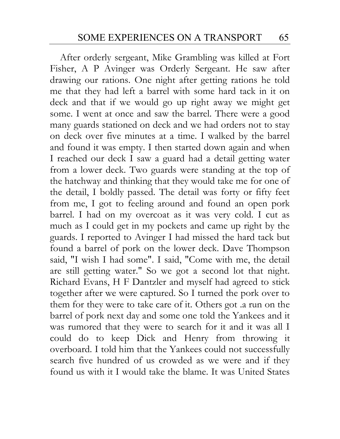After orderly sergeant, Mike Grambling was killed at Fort Fisher, A P Avinger was Orderly Sergeant. He saw after drawing our rations. One night after getting rations he told me that they had left a barrel with some hard tack in it on deck and that if we would go up right away we might get some. I went at once and saw the barrel. There were a good many guards stationed on deck and we had orders not to stay on deck over five minutes at a time. I walked by the barrel and found it was empty. I then started down again and when I reached our deck I saw a guard had a detail getting water from a lower deck. Two guards were standing at the top of the hatchway and thinking that they would take me for one of the detail, I boldly passed. The detail was forty or fifty feet from me, I got to feeling around and found an open pork barrel. I had on my overcoat as it was very cold. I cut as much as I could get in my pockets and came up right by the guards. I reported to Avinger I had missed the hard tack but found a barrel of pork on the lower deck. Dave Thompson said, "I wish I had some". I said, "Come with me, the detail are still getting water." So we got a second lot that night. Richard Evans, H F Dantzler and myself had agreed to stick together after we were captured. So I turned the pork over to them for they were to take care of it. Others got .a run on the barrel of pork next day and some one told the Yankees and it was rumored that they were to search for it and it was all I could do to keep Dick and Henry from throwing it overboard. I told him that the Yankees could not successfully search five hundred of us crowded as we were and if they found us with it I would take the blame. It was United States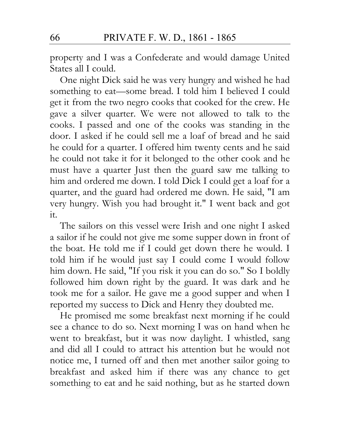property and I was a Confederate and would damage United States all I could.

One night Dick said he was very hungry and wished he had something to eat—some bread. I told him I believed I could get it from the two negro cooks that cooked for the crew. He gave a silver quarter. We were not allowed to talk to the cooks. I passed and one of the cooks was standing in the door. I asked if he could sell me a loaf of bread and he said he could for a quarter. I offered him twenty cents and he said he could not take it for it belonged to the other cook and he must have a quarter Just then the guard saw me talking to him and ordered me down. I told Dick I could get a loaf for a quarter, and the guard had ordered me down. He said, "I am very hungry. Wish you had brought it." I went back and got it.

The sailors on this vessel were Irish and one night I asked a sailor if he could not give me some supper down in front of the boat. He told me if I could get down there he would. I told him if he would just say I could come I would follow him down. He said, "If you risk it you can do so." So I boldly followed him down right by the guard. It was dark and he took me for a sailor. He gave me a good supper and when I reported my success to Dick and Henry they doubted me.

He promised me some breakfast next morning if he could see a chance to do so. Next morning I was on hand when he went to breakfast, but it was now daylight. I whistled, sang and did all I could to attract his attention but he would not notice me, I turned off and then met another sailor going to breakfast and asked him if there was any chance to get something to eat and he said nothing, but as he started down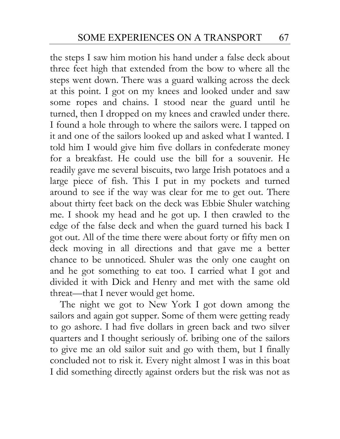the steps I saw him motion his hand under a false deck about three feet high that extended from the bow to where all the steps went down. There was a guard walking across the deck at this point. I got on my knees and looked under and saw some ropes and chains. I stood near the guard until he turned, then I dropped on my knees and crawled under there. I found a hole through to where the sailors were. I tapped on it and one of the sailors looked up and asked what I wanted. I told him I would give him five dollars in confederate money for a breakfast. He could use the bill for a souvenir. He readily gave me several biscuits, two large Irish potatoes and a large piece of fish. This I put in my pockets and turned around to see if the way was clear for me to get out. There about thirty feet back on the deck was Ebbie Shuler watching me. I shook my head and he got up. I then crawled to the edge of the false deck and when the guard turned his back I got out. All of the time there were about forty or fifty men on deck moving in all directions and that gave me a better chance to be unnoticed. Shuler was the only one caught on and he got something to eat too. I carried what I got and divided it with Dick and Henry and met with the same old threat—that I never would get home.

The night we got to New York I got down among the sailors and again got supper. Some of them were getting ready to go ashore. I had five dollars in green back and two silver quarters and I thought seriously of. bribing one of the sailors to give me an old sailor suit and go with them, but I finally concluded not to risk it. Every night almost I was in this boat I did something directly against orders but the risk was not as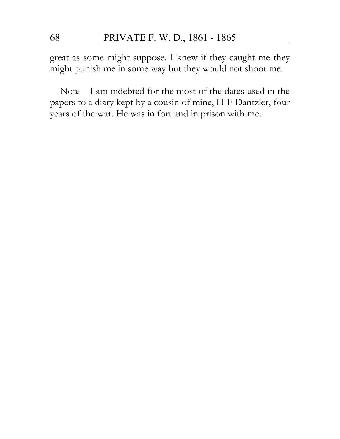great as some might suppose. I knew if they caught me they might punish me in some way but they would not shoot me.

Note—I am indebted for the most of the dates used in the papers to a diary kept by a cousin of mine, H F Dantzler, four years of the war. He was in fort and in prison with me.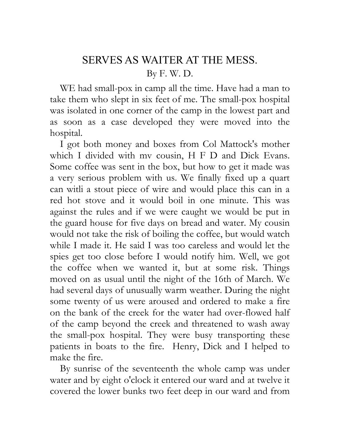# SERVES AS WAITER AT THE MESS. By F. W. D.

WE had small-pox in camp all the time. Have had a man to take them who slept in six feet of me. The small-pox hospital was isolated in one corner of the camp in the lowest part and as soon as a case developed they were moved into the hospital.

I got both money and boxes from Col Mattock's mother which I divided with mv cousin, H F D and Dick Evans. Some coffee was sent in the box, but how to get it made was a very serious problem with us. We finally fixed up a quart can witli a stout piece of wire and would place this can in a red hot stove and it would boil in one minute. This was against the rules and if we were caught we would be put in the guard house for five days on bread and water. My cousin would not take the risk of boiling the coffee, but would watch while I made it. He said I was too careless and would let the spies get too close before I would notify him. Well, we got the coffee when we wanted it, but at some risk. Things moved on as usual until the night of the 16th of March. We had several days of unusually warm weather. During the night some twenty of us were aroused and ordered to make a fire on the bank of the creek for the water had over-flowed half of the camp beyond the creek and threatened to wash away the small-pox hospital. They were busy transporting these patients in boats to the fire. Henry, Dick and I helped to make the fire.

By sunrise of the seventeenth the whole camp was under water and by eight o'clock it entered our ward and at twelve it covered the lower bunks two feet deep in our ward and from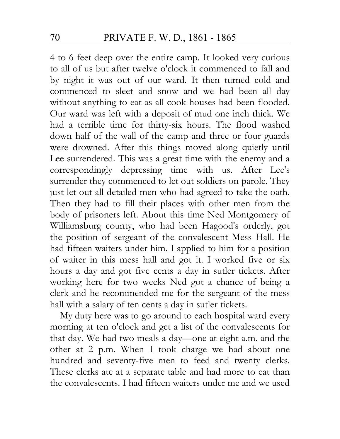4 to 6 feet deep over the entire camp. It looked very curious to all of us but after twelve o'clock it commenced to fall and by night it was out of our ward. It then turned cold and commenced to sleet and snow and we had been all day without anything to eat as all cook houses had been flooded. Our ward was left with a deposit of mud one inch thick. We had a terrible time for thirty-six hours. The flood washed down half of the wall of the camp and three or four guards were drowned. After this things moved along quietly until Lee surrendered. This was a great time with the enemy and a correspondingly depressing time with us. After Lee's surrender they commenced to let out soldiers on parole. They just let out all detailed men who had agreed to take the oath. Then they had to fill their places with other men from the body of prisoners left. About this time Ned Montgomery of Williamsburg county, who had been Hagood's orderly, got the position of sergeant of the convalescent Mess Hall. He had fifteen waiters under him. I applied to him for a position of waiter in this mess hall and got it. I worked five or six hours a day and got five cents a day in sutler tickets. After working here for two weeks Ned got a chance of being a clerk and he recommended me for the sergeant of the mess hall with a salary of ten cents a day in sutler tickets.

My duty here was to go around to each hospital ward every morning at ten o'clock and get a list of the convalescents for that day. We had two meals a day—one at eight a.m. and the other at 2 p.m. When I took charge we had about one hundred and seventy-five men to feed and twenty clerks. These clerks ate at a separate table and had more to eat than the convalescents. I had fifteen waiters under me and we used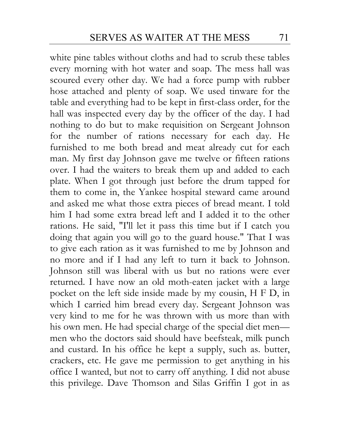white pine tables without cloths and had to scrub these tables every morning with hot water and soap. The mess hall was scoured every other day. We had a force pump with rubber hose attached and plenty of soap. We used tinware for the table and everything had to be kept in first-class order, for the hall was inspected every day by the officer of the day. I had nothing to do but to make requisition on Sergeant Johnson for the number of rations necessary for each day. He furnished to me both bread and meat already cut for each man. My first day Johnson gave me twelve or fifteen rations over. I had the waiters to break them up and added to each plate. When I got through just before the drum tapped for them to come in, the Yankee hospital steward came around and asked me what those extra pieces of bread meant. I told him I had some extra bread left and I added it to the other rations. He said, "I'll let it pass this time but if I catch you doing that again you will go to the guard house." That I was to give each ration as it was furnished to me by Johnson and no more and if I had any left to turn it back to Johnson. Johnson still was liberal with us but no rations were ever returned. I have now an old moth-eaten jacket with a large pocket on the left side inside made by my cousin, H F D, in which I carried him bread every day. Sergeant Johnson was very kind to me for he was thrown with us more than with his own men. He had special charge of the special diet men men who the doctors said should have beefsteak, milk punch and custard. In his office he kept a supply, such as. butter, crackers, etc. He gave me permission to get anything in his office I wanted, but not to carry off anything. I did not abuse this privilege. Dave Thomson and Silas Griffin I got in as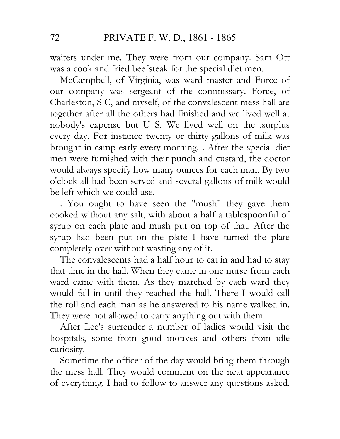waiters under me. They were from our company. Sam Ott was a cook and fried beefsteak for the special diet men.

McCampbell, of Virginia, was ward master and Force of our company was sergeant of the commissary. Force, of Charleston, S C, and myself, of the convalescent mess hall ate together after all the others had finished and we lived well at nobody's expense but U S. We lived well on the .surplus every day. For instance twenty or thirty gallons of milk was brought in camp early every morning. . After the special diet men were furnished with their punch and custard, the doctor would always specify how many ounces for each man. By two o'clock all had been served and several gallons of milk would be left which we could use.

. You ought to have seen the "mush" they gave them cooked without any salt, with about a half a tablespoonful of syrup on each plate and mush put on top of that. After the syrup had been put on the plate I have turned the plate completely over without wasting any of it.

The convalescents had a half hour to eat in and had to stay that time in the hall. When they came in one nurse from each ward came with them. As they marched by each ward they would fall in until they reached the hall. There I would call the roll and each man as he answered to his name walked in. They were not allowed to carry anything out with them.

After Lee's surrender a number of ladies would visit the hospitals, some from good motives and others from idle curiosity.

Sometime the officer of the day would bring them through the mess hall. They would comment on the neat appearance of everything. I had to follow to answer any questions asked.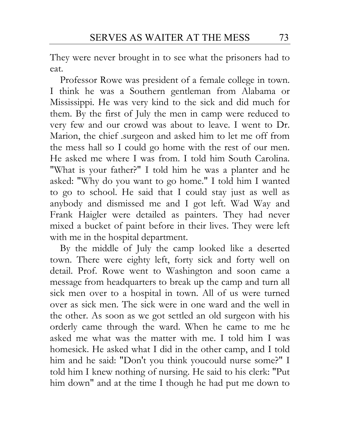They were never brought in to see what the prisoners had to eat.

Professor Rowe was president of a female college in town. I think he was a Southern gentleman from Alabama or Mississippi. He was very kind to the sick and did much for them. By the first of July the men in camp were reduced to very few and our crowd was about to leave. I went to Dr. Marion, the chief .surgeon and asked him to let me off from the mess hall so I could go home with the rest of our men. He asked me where I was from. I told him South Carolina. "What is your father?" I told him he was a planter and he asked: "Why do you want to go home." I told him I wanted to go to school. He said that I could stay just as well as anybody and dismissed me and I got left. Wad Way and Frank Haigler were detailed as painters. They had never mixed a bucket of paint before in their lives. They were left with me in the hospital department.

By the middle of July the camp looked like a deserted town. There were eighty left, forty sick and forty well on detail. Prof. Rowe went to Washington and soon came a message from headquarters to break up the camp and turn all sick men over to a hospital in town. All of us were turned over as sick men. The sick were in one ward and the well in the other. As soon as we got settled an old surgeon with his orderly came through the ward. When he came to me he asked me what was the matter with me. I told him I was homesick. He asked what I did in the other camp, and I told him and he said: "Don't you think youcould nurse some?" I told him I knew nothing of nursing. He said to his clerk: "Put him down" and at the time I though he had put me down to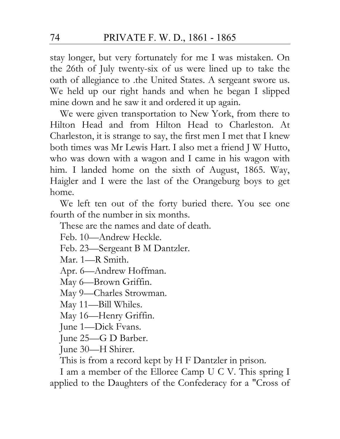stay longer, but very fortunately for me I was mistaken. On the 26th of July twenty-six of us were lined up to take the oath of allegiance to .the United States. A sergeant swore us. We held up our right hands and when he began I slipped mine down and he saw it and ordered it up again.

We were given transportation to New York, from there to Hilton Head and from Hilton Head to Charleston. At Charleston, it is strange to say, the first men I met that I knew both times was Mr Lewis Hart. I also met a friend J W Hutto, who was down with a wagon and I came in his wagon with him. I landed home on the sixth of August, 1865. Way, Haigler and I were the last of the Orangeburg boys to get home.

We left ten out of the forty buried there. You see one fourth of the number in six months.

These are the names and date of death.

Feb. 10—Andrew Heckle.

Feb. 23—Sergeant B M Dantzler.

Mar. 1—R Smith.

Apr. 6—Andrew Hoffman.

May 6—Brown Griffin.

May 9—Charles Strowman.

May 11—Bill Whiles.

May 16—Henry Griffin.

June 1—Dick Fvans.

June 25—G D Barber.

June 30—H Shirer.

This is from a record kept by H F Dantzler in prison.

I am a member of the Elloree Camp U C V. This spring I applied to the Daughters of the Confederacy for a "Cross of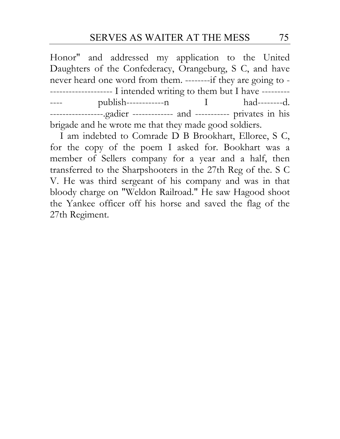Honor" and addressed my application to the United Daughters of the Confederacy, Orangeburg, S C, and have never heard one word from them. --------if they are going to - -------------------- I intended writing to them but I have --------- ---- publish-------------n I had--------d. -----------------.gadier ------------- and ----------- privates in his brigade and he wrote me that they made good soldiers.

I am indebted to Comrade D B Brookhart, Elloree, S C, for the copy of the poem I asked for. Bookhart was a member of Sellers company for a year and a half, then transferred to the Sharpshooters in the 27th Reg of the. S C V. He was third sergeant of his company and was in that bloody charge on "Weldon Railroad." He saw Hagood shoot the Yankee officer off his horse and saved the flag of the 27th Regiment.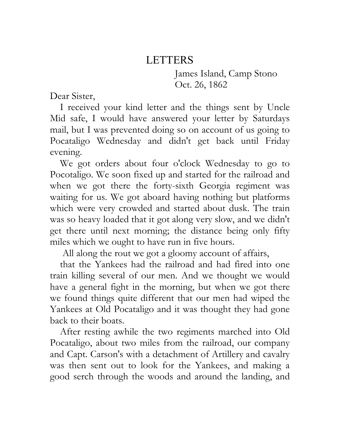## LETTERS

James Island, Camp Stono Oct. 26, 1862

Dear Sister,

I received your kind letter and the things sent by Uncle Mid safe, I would have answered your letter by Saturdays mail, but I was prevented doing so on account of us going to Pocataligo Wednesday and didn't get back until Friday evening.

We got orders about four o'clock Wednesday to go to Pocotaligo. We soon fixed up and started for the railroad and when we got there the forty-sixth Georgia regiment was waiting for us. We got aboard having nothing but platforms which were very crowded and started about dusk. The train was so heavy loaded that it got along very slow, and we didn't get there until next morning; the distance being only fifty miles which we ought to have run in five hours.

All along the rout we got a gloomy account of affairs,

that the Yankees had the railroad and had fired into one train killing several of our men. And we thought we would have a general fight in the morning, but when we got there we found things quite different that our men had wiped the Yankees at Old Pocataligo and it was thought they had gone back to their boats.

After resting awhile the two regiments marched into Old Pocataligo, about two miles from the railroad, our company and Capt. Carson's with a detachment of Artillery and cavalry was then sent out to look for the Yankees, and making a good serch through the woods and around the landing, and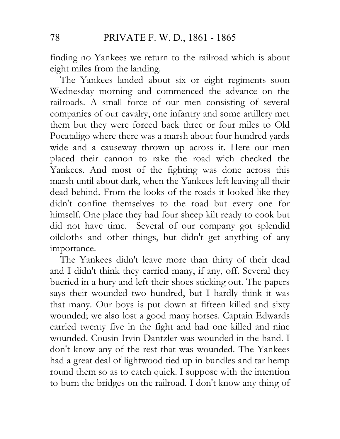finding no Yankees we return to the railroad which is about eight miles from the landing.

The Yankees landed about six or eight regiments soon Wednesday morning and commenced the advance on the railroads. A small force of our men consisting of several companies of our cavalry, one infantry and some artillery met them but they were forced back three or four miles to Old Pocataligo where there was a marsh about four hundred yards wide and a causeway thrown up across it. Here our men placed their cannon to rake the road wich checked the Yankees. And most of the fighting was done across this marsh until about dark, when the Yankees left leaving all their dead behind. From the looks of the roads it looked like they didn't confine themselves to the road but every one for himself. One place they had four sheep kilt ready to cook but did not have time. Several of our company got splendid oilcloths and other things, but didn't get anything of any importance.

The Yankees didn't leave more than thirty of their dead and I didn't think they carried many, if any, off. Several they bueried in a hury and left their shoes sticking out. The papers says their wounded two hundred, but I hardly think it was that many. Our boys is put down at fifteen killed and sixty wounded; we also lost a good many horses. Captain Edwards carried twenty five in the fight and had one killed and nine wounded. Cousin Irvin Dantzler was wounded in the hand. I don't know any of the rest that was wounded. The Yankees had a great deal of lightwood tied up in bundles and tar hemp round them so as to catch quick. I suppose with the intention to burn the bridges on the railroad. I don't know any thing of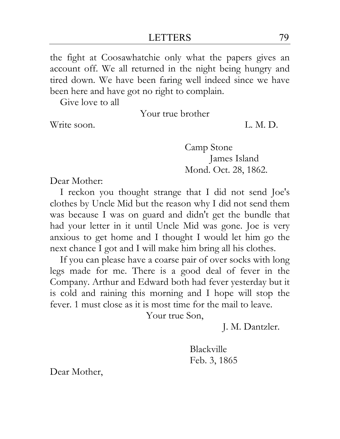the fight at Coosawhatchie only what the papers gives an account off. We all returned in the night being hungry and tired down. We have been faring well indeed since we have been here and have got no right to complain.

Give love to all

Your true brother

Write soon. I. M. D.

Camp Stone James Island Mond. Oct. 28, 1862.

Dear Mother:

I reckon you thought strange that I did not send Joe's clothes by Uncle Mid but the reason why I did not send them was because I was on guard and didn't get the bundle that had your letter in it until Uncle Mid was gone. Joe is very anxious to get home and I thought I would let him go the next chance I got and I will make him bring all his clothes.

If you can please have a coarse pair of over socks with long legs made for me. There is a good deal of fever in the Company. Arthur and Edward both had fever yesterday but it is cold and raining this morning and I hope will stop the fever. 1 must close as it is most time for the mail to leave.

Your true Son,

J. M. Dantzler.

Blackville Feb. 3, 1865

Dear Mother,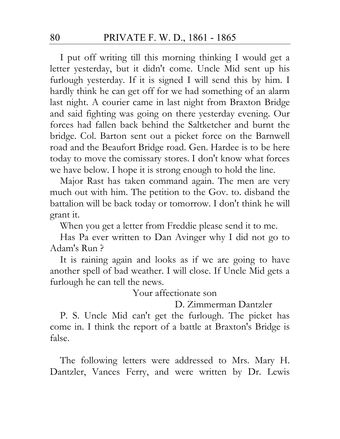I put off writing till this morning thinking I would get a letter yesterday, but it didn't come. Uncle Mid sent up his furlough yesterday. If it is signed I will send this by him. I hardly think he can get off for we had something of an alarm last night. A courier came in last night from Braxton Bridge and said fighting was going on there yesterday evening. Our forces had fallen back behind the Saltketcher and burnt the bridge. Col. Barton sent out a picket force on the Barnwell road and the Beaufort Bridge road. Gen. Hardee is to be here today to move the comissary stores. I don't know what forces we have below. I hope it is strong enough to hold the line.

Major Rast has taken command again. The men are very much out with him. The petition to the Gov. to. disband the battalion will be back today or tomorrow. I don't think he will grant it.

When you get a letter from Freddie please send it to me.

Has Pa ever written to Dan Avinger why I did not go to Adam's Run ?

It is raining again and looks as if we are going to have another spell of bad weather. I will close. If Uncle Mid gets a furlough he can tell the news.

Your affectionate son

D. Zimmerman Dantzler

P. S. Uncle Mid can't get the furlough. The picket has come in. I think the report of a battle at Braxton's Bridge is false.

The following letters were addressed to Mrs. Mary H. Dantzler, Vances Ferry, and were written by Dr. Lewis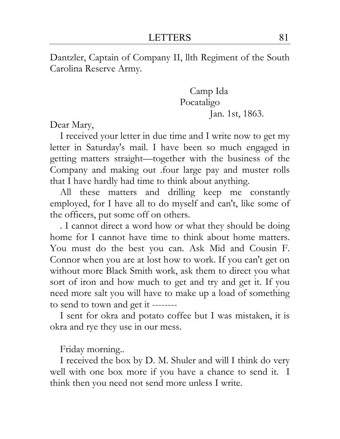Dantzler, Captain of Company II, llth Regiment of the South Carolina Reserve Army.

> Camp Ida Pocataligo Jan. 1st, 1863.

Dear Mary,

I received your letter in due time and I write now to get my letter in Saturday's mail. I have been so much engaged in getting matters straight—together with the business of the Company and making out .four large pay and muster rolls that I have hardly had time to think about anything.

All these matters and drilling keep me constantly employed, for I have all to do myself and can't, like some of the officers, put some off on others.

. I cannot direct a word how or what they should be doing home for I cannot have time to think about home matters. You must do the best you can. Ask Mid and Cousin F. Connor when you are at lost how to work. If you can't get on without more Black Smith work, ask them to direct you what sort of iron and how much to get and try and get it. If you need more salt you will have to make up a load of something to send to town and get it --------

I sent for okra and potato coffee but I was mistaken, it is okra and rye they use in our mess.

Friday morning..

I received the box by D. M. Shuler and will I think do very well with one box more if you have a chance to send it. I think then you need not send more unless I write.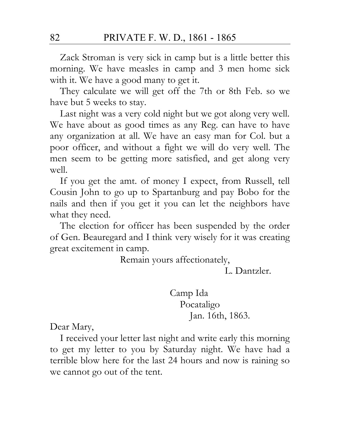Zack Stroman is very sick in camp but is a little better this morning. We have measles in camp and 3 men home sick with it. We have a good many to get it.

They calculate we will get off the 7th or 8th Feb. so we have but 5 weeks to stay.

Last night was a very cold night but we got along very well. We have about as good times as any Reg. can have to have any organization at all. We have an easy man for Col. but a poor officer, and without a fight we will do very well. The men seem to be getting more satisfied, and get along very well.

If you get the amt. of money I expect, from Russell, tell Cousin John to go up to Spartanburg and pay Bobo for the nails and then if you get it you can let the neighbors have what they need.

The election for officer has been suspended by the order of Gen. Beauregard and I think very wisely for it was creating great excitement in camp.

Remain yours affectionately,

L. Dantzler.

Camp Ida Pocataligo Jan. 16th, 1863.

Dear Mary,

I received your letter last night and write early this morning to get my letter to you by Saturday night. We have had a terrible blow here for the last 24 hours and now is raining so we cannot go out of the tent.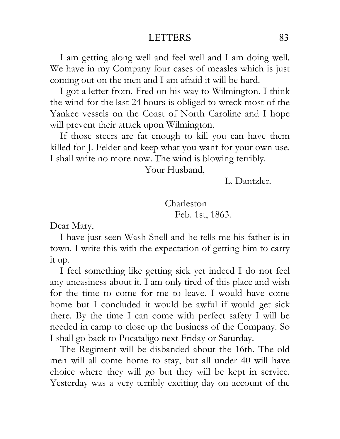I am getting along well and feel well and I am doing well. We have in my Company four cases of measles which is just coming out on the men and I am afraid it will be hard.

I got a letter from. Fred on his way to Wilmington. I think the wind for the last 24 hours is obliged to wreck most of the Yankee vessels on the Coast of North Caroline and I hope will prevent their attack upon Wilmington.

If those steers are fat enough to kill you can have them killed for J. Felder and keep what you want for your own use. I shall write no more now. The wind is blowing terribly.

Your Husband,

L. Dantzler.

Charleston Feb. 1st, 1863.

Dear Mary,

I have just seen Wash Snell and he tells me his father is in town. I write this with the expectation of getting him to carry it up.

I feel something like getting sick yet indeed I do not feel any uneasiness about it. I am only tired of this place and wish for the time to come for me to leave. I would have come home but I concluded it would be awful if would get sick there. By the time I can come with perfect safety I will be needed in camp to close up the business of the Company. So I shall go back to Pocataligo next Friday or Saturday.

The Regiment will be disbanded about the 16th. The old men will all come home to stay, but all under 40 will have choice where they will go but they will be kept in service. Yesterday was a very terribly exciting day on account of the